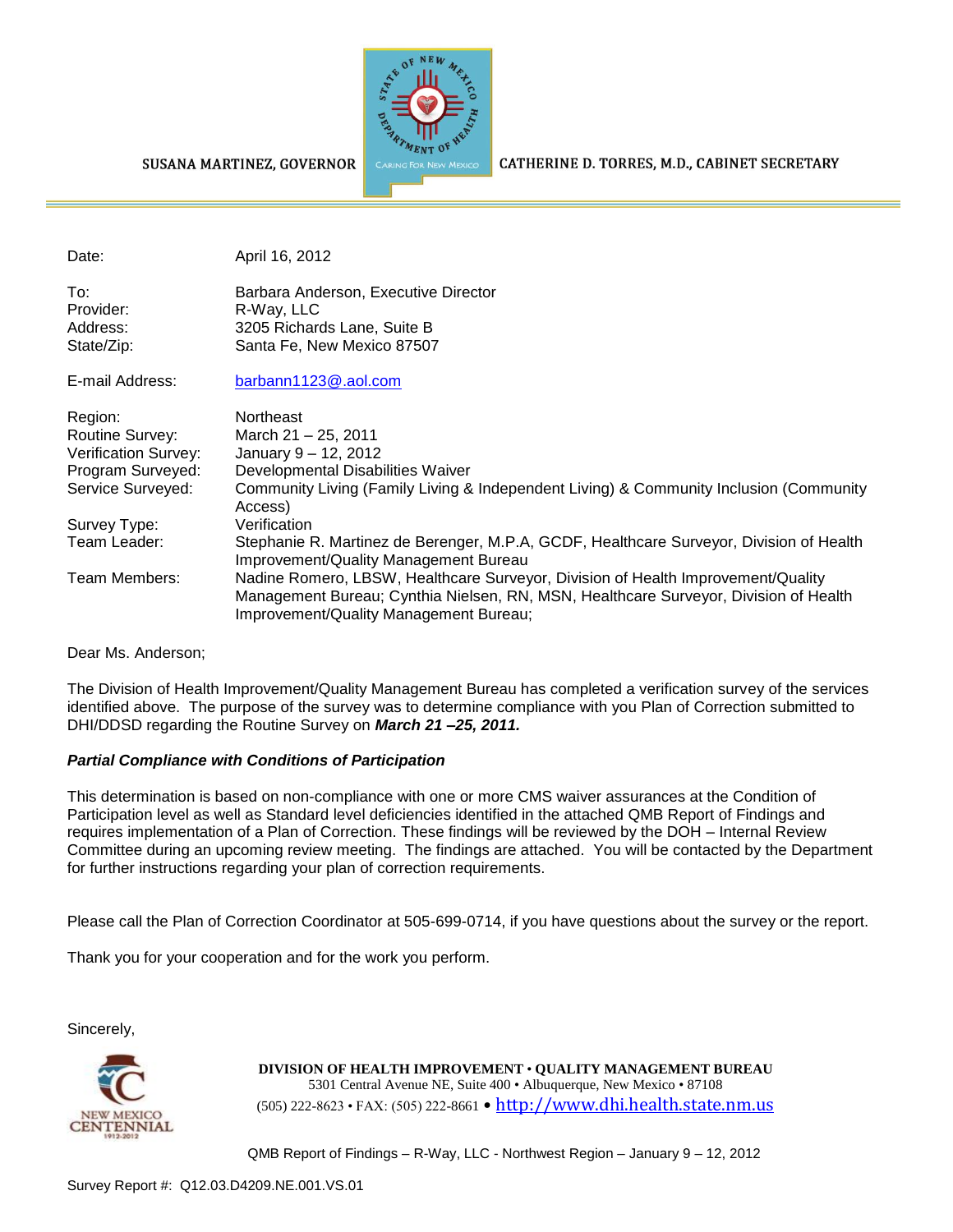

#### CATHERINE D. TORRES, M.D., CABINET SECRETARY

SUSANA MARTINEZ, GOVERNOR

| Date:                | April 16, 2012                                                                                    |
|----------------------|---------------------------------------------------------------------------------------------------|
| To:                  | Barbara Anderson, Executive Director                                                              |
| Provider:            | R-Way, LLC                                                                                        |
| Address:             | 3205 Richards Lane, Suite B                                                                       |
| State/Zip:           | Santa Fe, New Mexico 87507                                                                        |
| E-mail Address:      | barbann1123@.aol.com                                                                              |
| Region:              | Northeast                                                                                         |
| Routine Survey:      | March 21 - 25, 2011                                                                               |
| Verification Survey: | January 9 - 12, 2012                                                                              |
| Program Surveyed:    | Developmental Disabilities Waiver                                                                 |
| Service Surveyed:    | Community Living (Family Living & Independent Living) & Community Inclusion (Community<br>Access) |
| Survey Type:         | Verification                                                                                      |
| Team Leader:         | Stephanie R. Martinez de Berenger, M.P.A, GCDF, Healthcare Surveyor, Division of Health           |

Improvement/Quality Management Bureau Team Members: Nadine Romero, LBSW, Healthcare Surveyor, Division of Health Improvement/Quality Management Bureau; Cynthia Nielsen, RN, MSN, Healthcare Surveyor, Division of Health Improvement/Quality Management Bureau;

Dear Ms. Anderson;

The Division of Health Improvement/Quality Management Bureau has completed a verification survey of the services identified above. The purpose of the survey was to determine compliance with you Plan of Correction submitted to DHI/DDSD regarding the Routine Survey on *March 21 –25, 2011.*

#### *Partial Compliance with Conditions of Participation*

This determination is based on non-compliance with one or more CMS waiver assurances at the Condition of Participation level as well as Standard level deficiencies identified in the attached QMB Report of Findings and requires implementation of a Plan of Correction. These findings will be reviewed by the DOH – Internal Review Committee during an upcoming review meeting. The findings are attached. You will be contacted by the Department for further instructions regarding your plan of correction requirements.

Please call the Plan of Correction Coordinator at 505-699-0714, if you have questions about the survey or the report.

Thank you for your cooperation and for the work you perform.

Sincerely,



**DIVISION OF HEALTH IMPROVEMENT** • **QUALITY MANAGEMENT BUREAU** 5301 Central Avenue NE, Suite 400 • Albuquerque, New Mexico • 87108 (505) 222-8623 • FAX: (505) 222-8661 • http://www.dhi.health.state.nm.us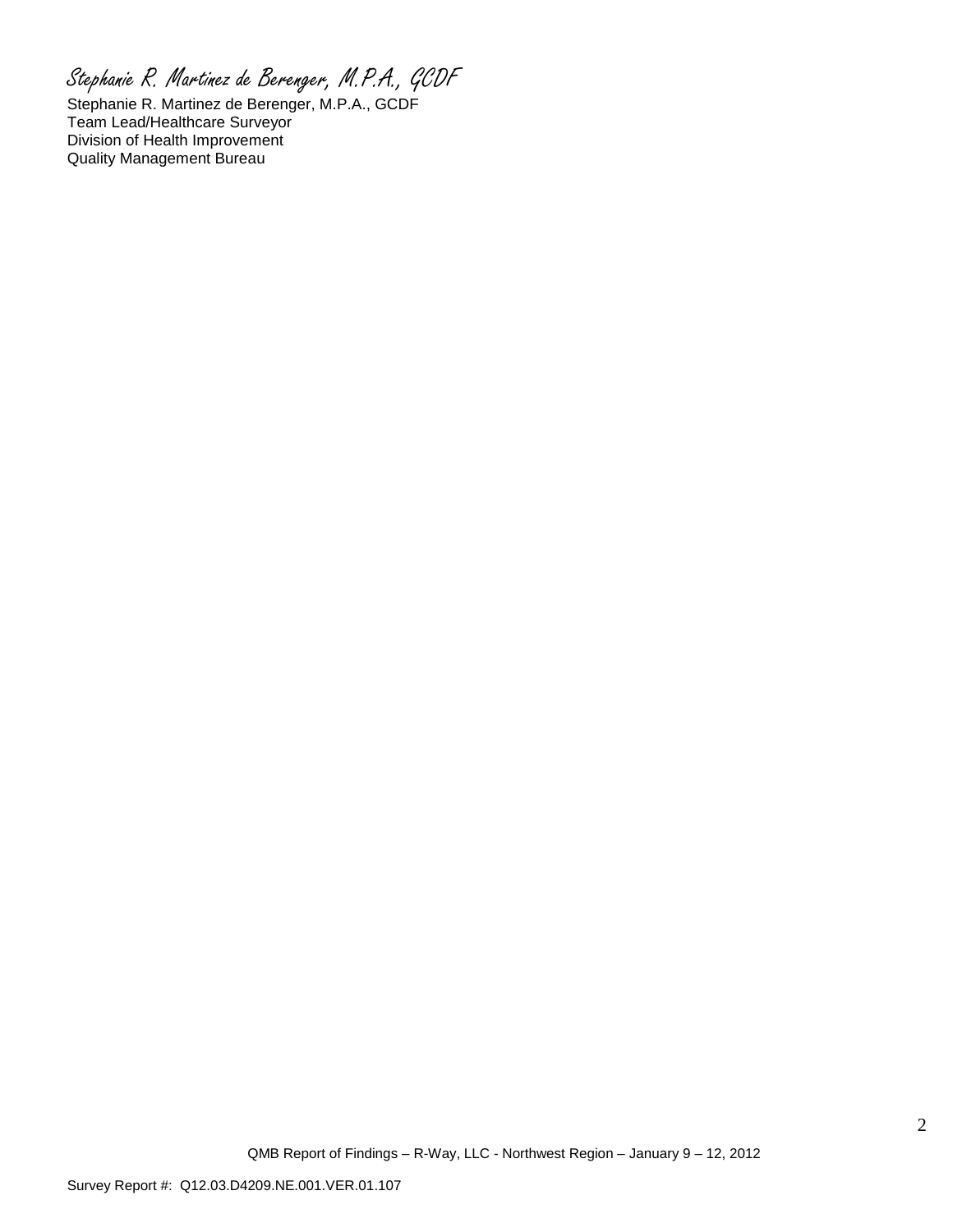Stephanie R. Martinez de Berenger, M.P.A., GCDF

Stephanie R. Martinez de Berenger, M.P.A., GCDF Team Lead/Healthcare Surveyor Division of Health Improvement Quality Management Bureau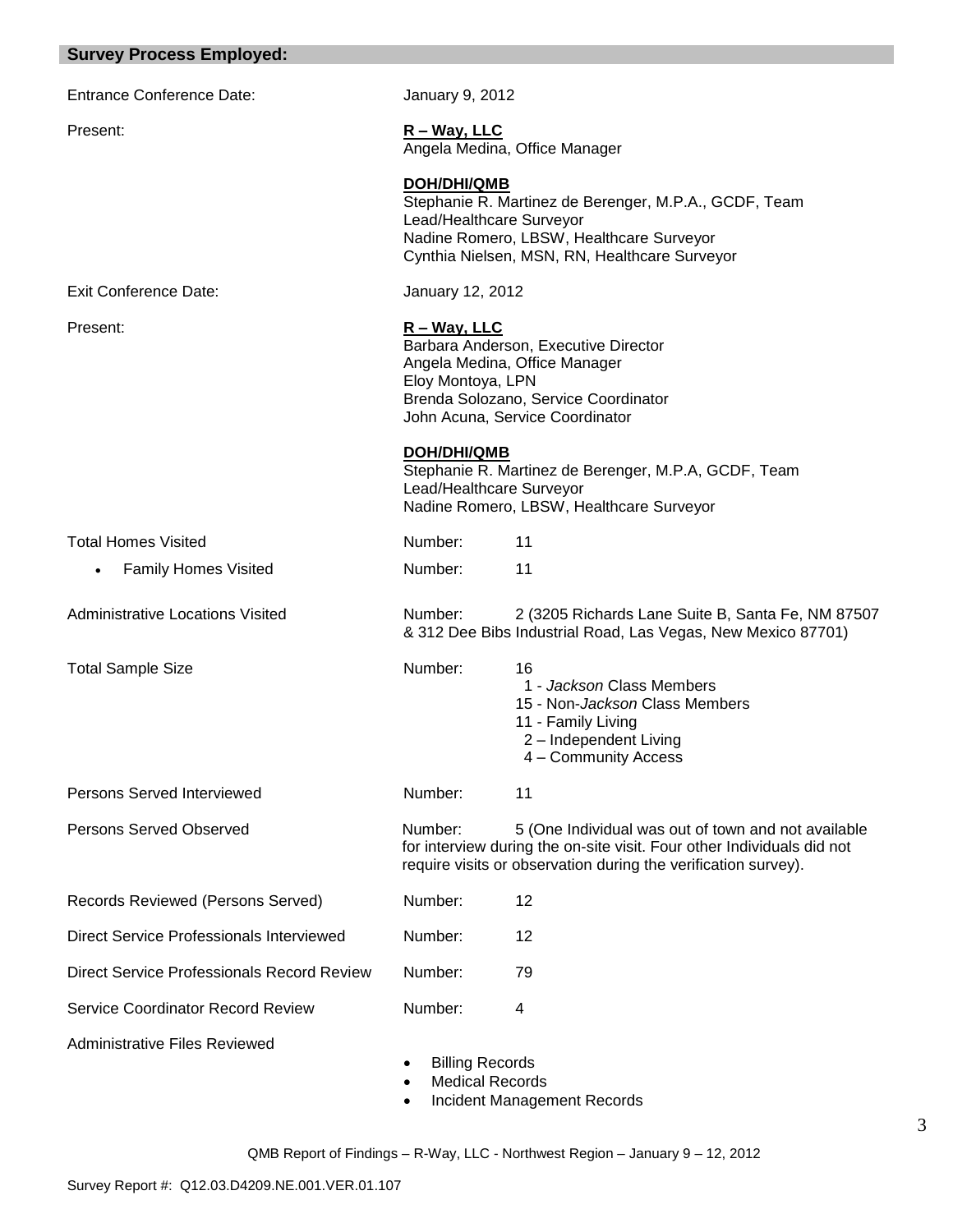| <b>Survey Process Employed:</b>            |                                                                                                                                                                                              |                                                                                                                                                                                                 |
|--------------------------------------------|----------------------------------------------------------------------------------------------------------------------------------------------------------------------------------------------|-------------------------------------------------------------------------------------------------------------------------------------------------------------------------------------------------|
| <b>Entrance Conference Date:</b>           | January 9, 2012                                                                                                                                                                              |                                                                                                                                                                                                 |
| Present:                                   | $R - Way$ , LLC                                                                                                                                                                              | Angela Medina, Office Manager                                                                                                                                                                   |
|                                            | <b>DOH/DHI/QMB</b><br>Lead/Healthcare Surveyor                                                                                                                                               | Stephanie R. Martinez de Berenger, M.P.A., GCDF, Team<br>Nadine Romero, LBSW, Healthcare Surveyor<br>Cynthia Nielsen, MSN, RN, Healthcare Surveyor                                              |
| <b>Exit Conference Date:</b>               | January 12, 2012                                                                                                                                                                             |                                                                                                                                                                                                 |
| Present:                                   | <u>R – Way, LLC</u><br>Barbara Anderson, Executive Director<br>Angela Medina, Office Manager<br>Eloy Montoya, LPN<br>Brenda Solozano, Service Coordinator<br>John Acuna, Service Coordinator |                                                                                                                                                                                                 |
|                                            | <b>DOH/DHI/QMB</b><br>Lead/Healthcare Surveyor                                                                                                                                               | Stephanie R. Martinez de Berenger, M.P.A, GCDF, Team<br>Nadine Romero, LBSW, Healthcare Surveyor                                                                                                |
| <b>Total Homes Visited</b>                 | Number:                                                                                                                                                                                      | 11                                                                                                                                                                                              |
| <b>Family Homes Visited</b><br>$\bullet$   | Number:                                                                                                                                                                                      | 11                                                                                                                                                                                              |
| <b>Administrative Locations Visited</b>    | Number:                                                                                                                                                                                      | 2 (3205 Richards Lane Suite B, Santa Fe, NM 87507<br>& 312 Dee Bibs Industrial Road, Las Vegas, New Mexico 87701)                                                                               |
| <b>Total Sample Size</b>                   | Number:                                                                                                                                                                                      | 16<br>1 - Jackson Class Members<br>15 - Non-Jackson Class Members<br>11 - Family Living<br>2 - Independent Living<br>4 - Community Access                                                       |
| Persons Served Interviewed                 | Number:                                                                                                                                                                                      | 11                                                                                                                                                                                              |
| <b>Persons Served Observed</b>             | Number:                                                                                                                                                                                      | 5 (One Individual was out of town and not available<br>for interview during the on-site visit. Four other Individuals did not<br>require visits or observation during the verification survey). |
| Records Reviewed (Persons Served)          | Number:                                                                                                                                                                                      | 12                                                                                                                                                                                              |
| Direct Service Professionals Interviewed   | Number:                                                                                                                                                                                      | 12                                                                                                                                                                                              |
| Direct Service Professionals Record Review | Number:                                                                                                                                                                                      | 79                                                                                                                                                                                              |
| <b>Service Coordinator Record Review</b>   | Number:                                                                                                                                                                                      | 4                                                                                                                                                                                               |
| <b>Administrative Files Reviewed</b>       | <b>Billing Records</b><br><b>Medical Records</b><br>٠                                                                                                                                        | Incident Management Records                                                                                                                                                                     |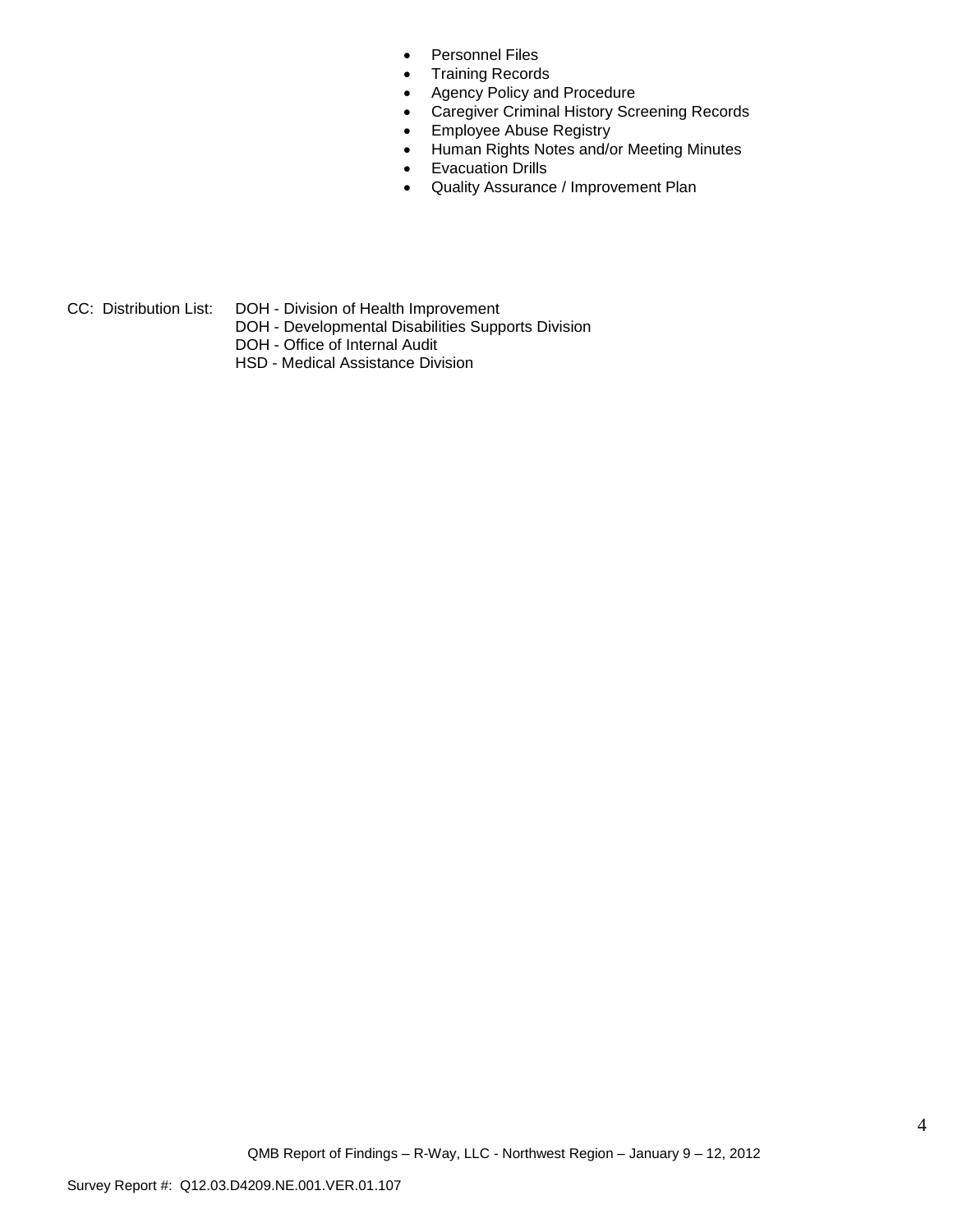- Personnel Files
- Training Records
- Agency Policy and Procedure
- Caregiver Criminal History Screening Records
- **Employee Abuse Registry**
- Human Rights Notes and/or Meeting Minutes
- **•** Evacuation Drills
- Quality Assurance / Improvement Plan
- CC: Distribution List: DOH Division of Health Improvement
	- DOH Developmental Disabilities Supports Division
	- DOH Office of Internal Audit
	- HSD Medical Assistance Division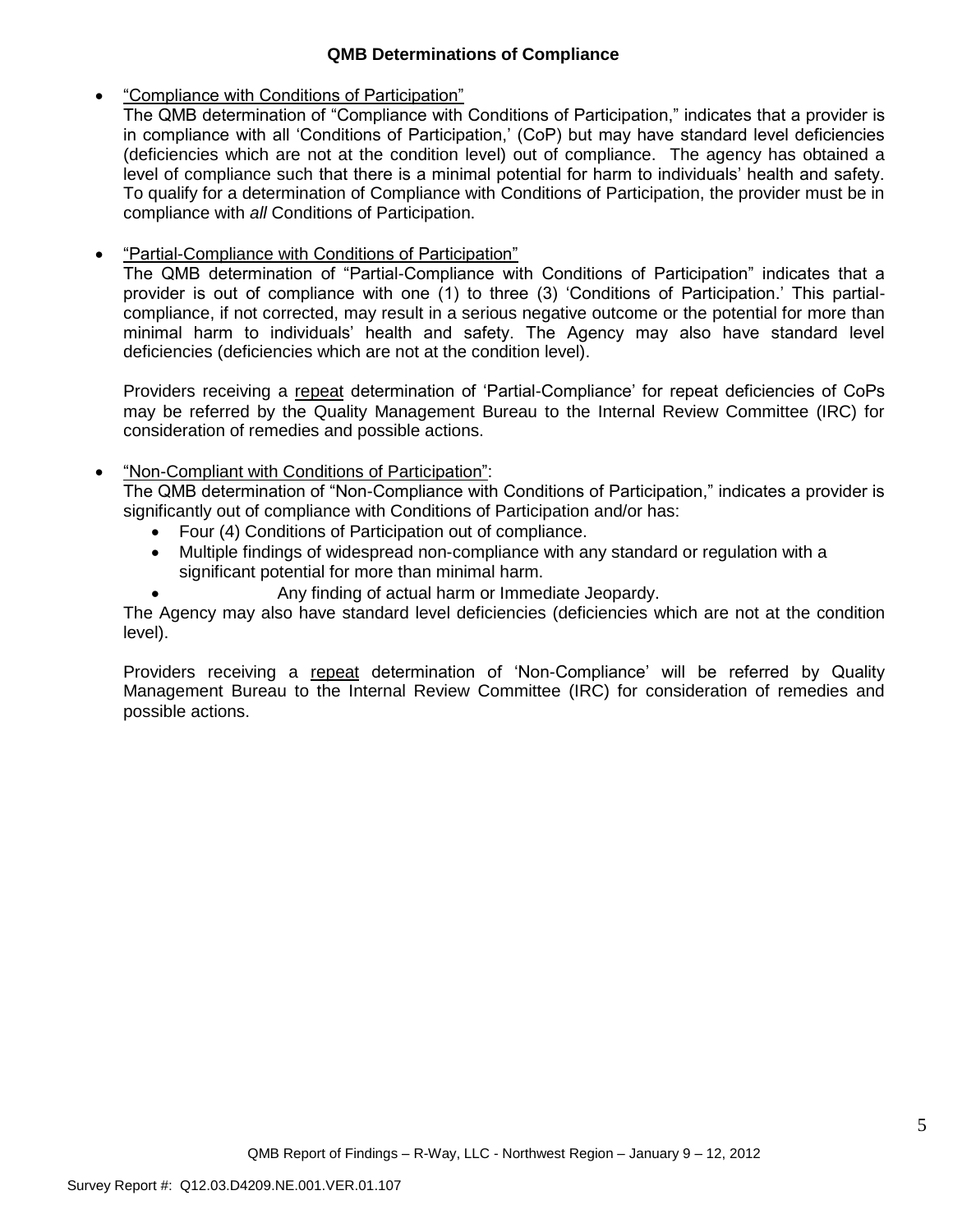# **QMB Determinations of Compliance**

"Compliance with Conditions of Participation"

The QMB determination of "Compliance with Conditions of Participation," indicates that a provider is in compliance with all 'Conditions of Participation,' (CoP) but may have standard level deficiencies (deficiencies which are not at the condition level) out of compliance. The agency has obtained a level of compliance such that there is a minimal potential for harm to individuals' health and safety. To qualify for a determination of Compliance with Conditions of Participation, the provider must be in compliance with *all* Conditions of Participation.

"Partial-Compliance with Conditions of Participation"

The QMB determination of "Partial-Compliance with Conditions of Participation" indicates that a provider is out of compliance with one (1) to three (3) 'Conditions of Participation.' This partialcompliance, if not corrected, may result in a serious negative outcome or the potential for more than minimal harm to individuals' health and safety. The Agency may also have standard level deficiencies (deficiencies which are not at the condition level).

Providers receiving a repeat determination of 'Partial-Compliance' for repeat deficiencies of CoPs may be referred by the Quality Management Bureau to the Internal Review Committee (IRC) for consideration of remedies and possible actions.

"Non-Compliant with Conditions of Participation":

The QMB determination of "Non-Compliance with Conditions of Participation," indicates a provider is significantly out of compliance with Conditions of Participation and/or has:

- Four (4) Conditions of Participation out of compliance.
- Multiple findings of widespread non-compliance with any standard or regulation with a significant potential for more than minimal harm.

Any finding of actual harm or Immediate Jeopardy.

The Agency may also have standard level deficiencies (deficiencies which are not at the condition level).

Providers receiving a repeat determination of 'Non-Compliance' will be referred by Quality Management Bureau to the Internal Review Committee (IRC) for consideration of remedies and possible actions.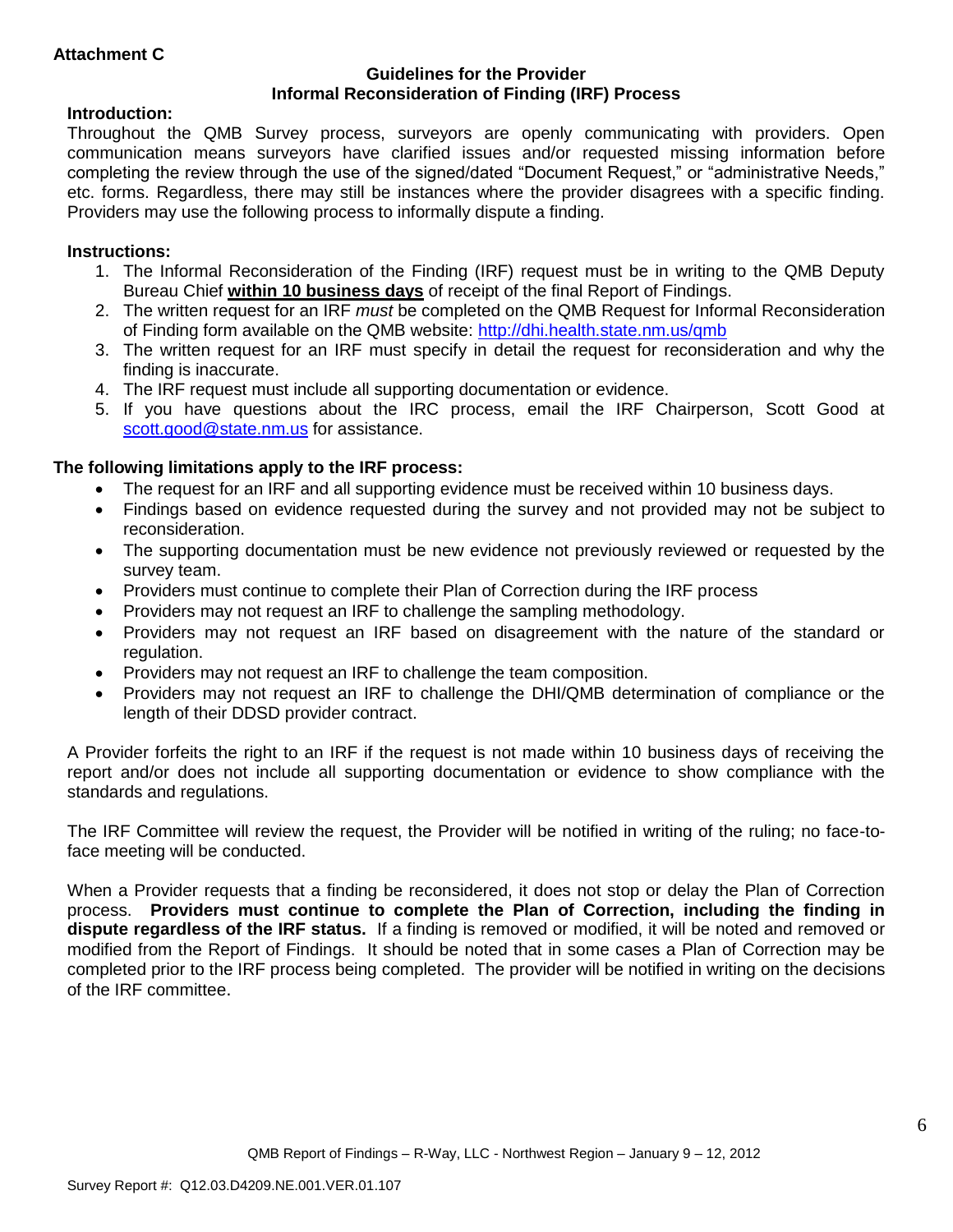# **Attachment C**

### **Guidelines for the Provider Informal Reconsideration of Finding (IRF) Process**

# **Introduction:**

Throughout the QMB Survey process, surveyors are openly communicating with providers. Open communication means surveyors have clarified issues and/or requested missing information before completing the review through the use of the signed/dated "Document Request," or "administrative Needs," etc. forms. Regardless, there may still be instances where the provider disagrees with a specific finding. Providers may use the following process to informally dispute a finding.

### **Instructions:**

- 1. The Informal Reconsideration of the Finding (IRF) request must be in writing to the QMB Deputy Bureau Chief **within 10 business days** of receipt of the final Report of Findings.
- 2. The written request for an IRF *must* be completed on the QMB Request for Informal Reconsideration of Finding form available on the QMB website:<http://dhi.health.state.nm.us/qmb>
- 3. The written request for an IRF must specify in detail the request for reconsideration and why the finding is inaccurate.
- 4. The IRF request must include all supporting documentation or evidence.
- 5. If you have questions about the IRC process, email the IRF Chairperson, Scott Good at [scott.good@state.nm.us](mailto:scott.good@state.nm.us) for assistance.

# **The following limitations apply to the IRF process:**

- The request for an IRF and all supporting evidence must be received within 10 business days.
- Findings based on evidence requested during the survey and not provided may not be subject to reconsideration.
- The supporting documentation must be new evidence not previously reviewed or requested by the survey team.
- Providers must continue to complete their Plan of Correction during the IRF process
- Providers may not request an IRF to challenge the sampling methodology.
- Providers may not request an IRF based on disagreement with the nature of the standard or regulation.
- Providers may not request an IRF to challenge the team composition.
- Providers may not request an IRF to challenge the DHI/QMB determination of compliance or the length of their DDSD provider contract.

A Provider forfeits the right to an IRF if the request is not made within 10 business days of receiving the report and/or does not include all supporting documentation or evidence to show compliance with the standards and regulations.

The IRF Committee will review the request, the Provider will be notified in writing of the ruling; no face-toface meeting will be conducted.

When a Provider requests that a finding be reconsidered, it does not stop or delay the Plan of Correction process. **Providers must continue to complete the Plan of Correction, including the finding in dispute regardless of the IRF status.** If a finding is removed or modified, it will be noted and removed or modified from the Report of Findings. It should be noted that in some cases a Plan of Correction may be completed prior to the IRF process being completed. The provider will be notified in writing on the decisions of the IRF committee.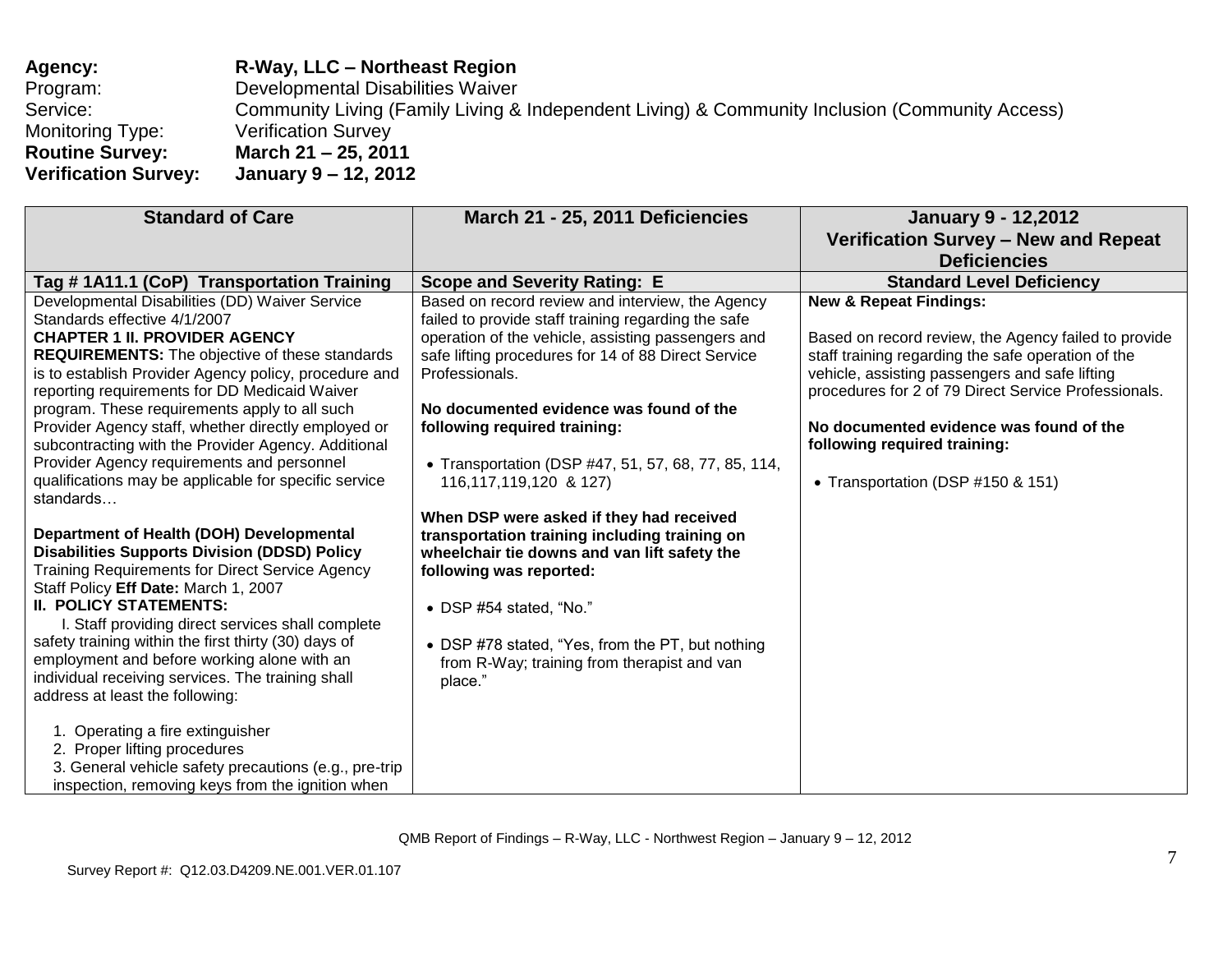# **Agency: R-Way, LLC – Northeast Region** Program: Developmental Disabilities Waiver Service: **Community Living (Family Living & Independent Living) & Community Inclusion (Community Access)** Monitoring Type: Verification Survey **Routine Survey: March 21 – 25, 2011 Verification Survey: January 9 – 12, 2012**

| <b>Standard of Care</b>                                                                                                                                                                                                                                                                                                                                                                                                                                                                                                                                                                                                                                                                                                                                                                                                                                                                                                                                                                                                                                                                                                                                                                                                                          | March 21 - 25, 2011 Deficiencies                                                                                                                                                                                                                                                                                                                                                                                                                                                                                                                                                                                                                                                                                       | <b>January 9 - 12,2012</b>                                                                                                                                                                                                                                                                                                                                                |
|--------------------------------------------------------------------------------------------------------------------------------------------------------------------------------------------------------------------------------------------------------------------------------------------------------------------------------------------------------------------------------------------------------------------------------------------------------------------------------------------------------------------------------------------------------------------------------------------------------------------------------------------------------------------------------------------------------------------------------------------------------------------------------------------------------------------------------------------------------------------------------------------------------------------------------------------------------------------------------------------------------------------------------------------------------------------------------------------------------------------------------------------------------------------------------------------------------------------------------------------------|------------------------------------------------------------------------------------------------------------------------------------------------------------------------------------------------------------------------------------------------------------------------------------------------------------------------------------------------------------------------------------------------------------------------------------------------------------------------------------------------------------------------------------------------------------------------------------------------------------------------------------------------------------------------------------------------------------------------|---------------------------------------------------------------------------------------------------------------------------------------------------------------------------------------------------------------------------------------------------------------------------------------------------------------------------------------------------------------------------|
|                                                                                                                                                                                                                                                                                                                                                                                                                                                                                                                                                                                                                                                                                                                                                                                                                                                                                                                                                                                                                                                                                                                                                                                                                                                  |                                                                                                                                                                                                                                                                                                                                                                                                                                                                                                                                                                                                                                                                                                                        | Verification Survey - New and Repeat                                                                                                                                                                                                                                                                                                                                      |
|                                                                                                                                                                                                                                                                                                                                                                                                                                                                                                                                                                                                                                                                                                                                                                                                                                                                                                                                                                                                                                                                                                                                                                                                                                                  |                                                                                                                                                                                                                                                                                                                                                                                                                                                                                                                                                                                                                                                                                                                        | <b>Deficiencies</b>                                                                                                                                                                                                                                                                                                                                                       |
| Tag # 1A11.1 (CoP) Transportation Training                                                                                                                                                                                                                                                                                                                                                                                                                                                                                                                                                                                                                                                                                                                                                                                                                                                                                                                                                                                                                                                                                                                                                                                                       | <b>Scope and Severity Rating: E</b>                                                                                                                                                                                                                                                                                                                                                                                                                                                                                                                                                                                                                                                                                    | <b>Standard Level Deficiency</b>                                                                                                                                                                                                                                                                                                                                          |
| Developmental Disabilities (DD) Waiver Service<br>Standards effective 4/1/2007<br><b>CHAPTER 1 II. PROVIDER AGENCY</b><br><b>REQUIREMENTS:</b> The objective of these standards<br>is to establish Provider Agency policy, procedure and<br>reporting requirements for DD Medicaid Waiver<br>program. These requirements apply to all such<br>Provider Agency staff, whether directly employed or<br>subcontracting with the Provider Agency. Additional<br>Provider Agency requirements and personnel<br>qualifications may be applicable for specific service<br>standards<br>Department of Health (DOH) Developmental<br><b>Disabilities Supports Division (DDSD) Policy</b><br>Training Requirements for Direct Service Agency<br>Staff Policy Eff Date: March 1, 2007<br><b>II. POLICY STATEMENTS:</b><br>I. Staff providing direct services shall complete<br>safety training within the first thirty (30) days of<br>employment and before working alone with an<br>individual receiving services. The training shall<br>address at least the following:<br>1. Operating a fire extinguisher<br>2. Proper lifting procedures<br>3. General vehicle safety precautions (e.g., pre-trip<br>inspection, removing keys from the ignition when | Based on record review and interview, the Agency<br>failed to provide staff training regarding the safe<br>operation of the vehicle, assisting passengers and<br>safe lifting procedures for 14 of 88 Direct Service<br>Professionals.<br>No documented evidence was found of the<br>following required training:<br>• Transportation (DSP #47, 51, 57, 68, 77, 85, 114,<br>116, 117, 119, 120 & 127)<br>When DSP were asked if they had received<br>transportation training including training on<br>wheelchair tie downs and van lift safety the<br>following was reported:<br>• DSP #54 stated, "No."<br>• DSP #78 stated, "Yes, from the PT, but nothing<br>from R-Way; training from therapist and van<br>place." | <b>New &amp; Repeat Findings:</b><br>Based on record review, the Agency failed to provide<br>staff training regarding the safe operation of the<br>vehicle, assisting passengers and safe lifting<br>procedures for 2 of 79 Direct Service Professionals.<br>No documented evidence was found of the<br>following required training:<br>• Transportation (DSP #150 & 151) |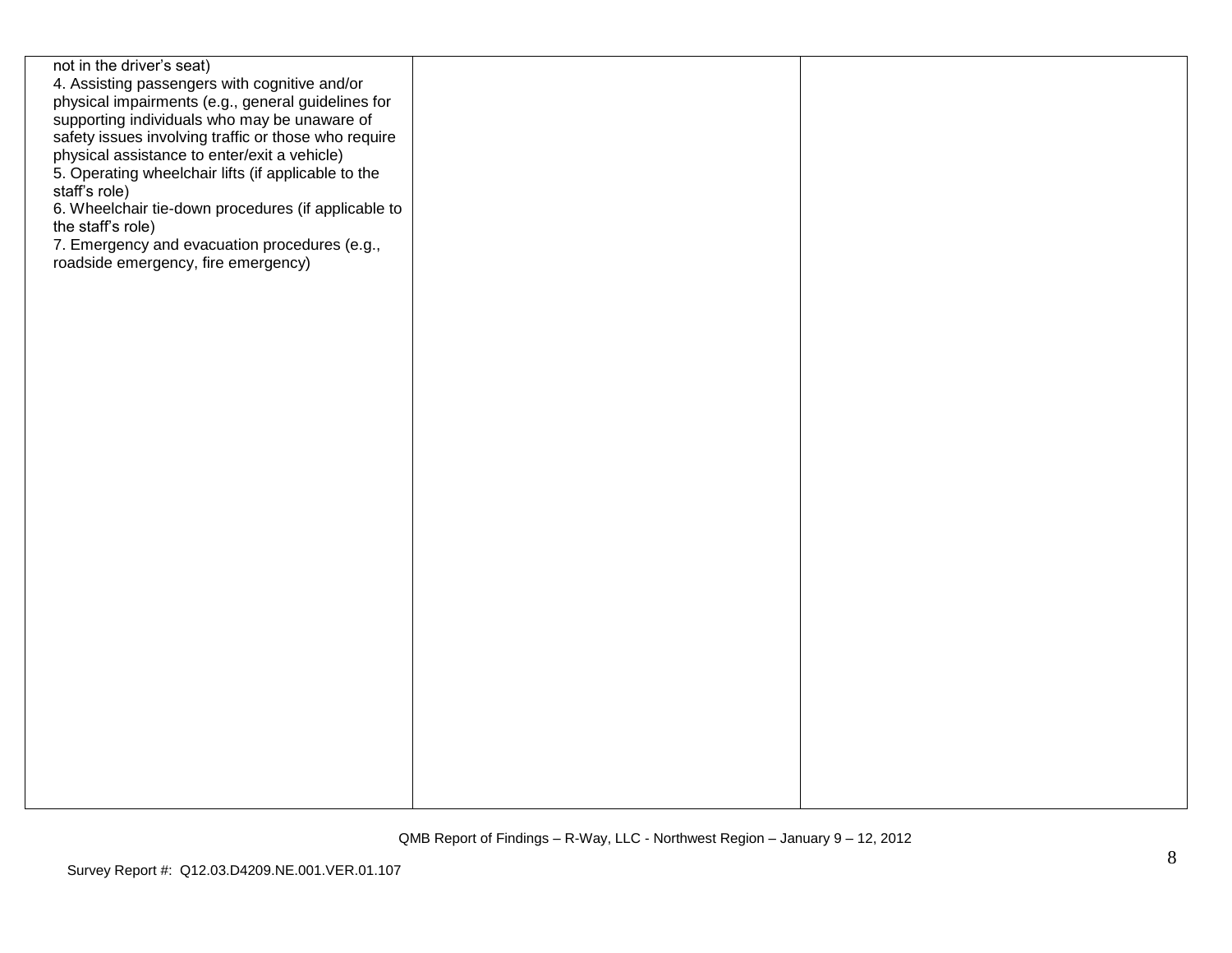| not in the driver's seat)<br>4. Assisting passengers with cognitive and/or<br>physical impairments (e.g., general guidelines for<br>supporting individuals who may be unaware of<br>safety issues involving traffic or those who require<br>physical assistance to enter/exit a vehicle)<br>5. Operating wheelchair lifts (if applicable to the<br>staff's role)<br>6. Wheelchair tie-down procedures (if applicable to<br>the staff's role)<br>7. Emergency and evacuation procedures (e.g.,<br>roadside emergency, fire emergency) |  |
|--------------------------------------------------------------------------------------------------------------------------------------------------------------------------------------------------------------------------------------------------------------------------------------------------------------------------------------------------------------------------------------------------------------------------------------------------------------------------------------------------------------------------------------|--|
|                                                                                                                                                                                                                                                                                                                                                                                                                                                                                                                                      |  |
|                                                                                                                                                                                                                                                                                                                                                                                                                                                                                                                                      |  |
|                                                                                                                                                                                                                                                                                                                                                                                                                                                                                                                                      |  |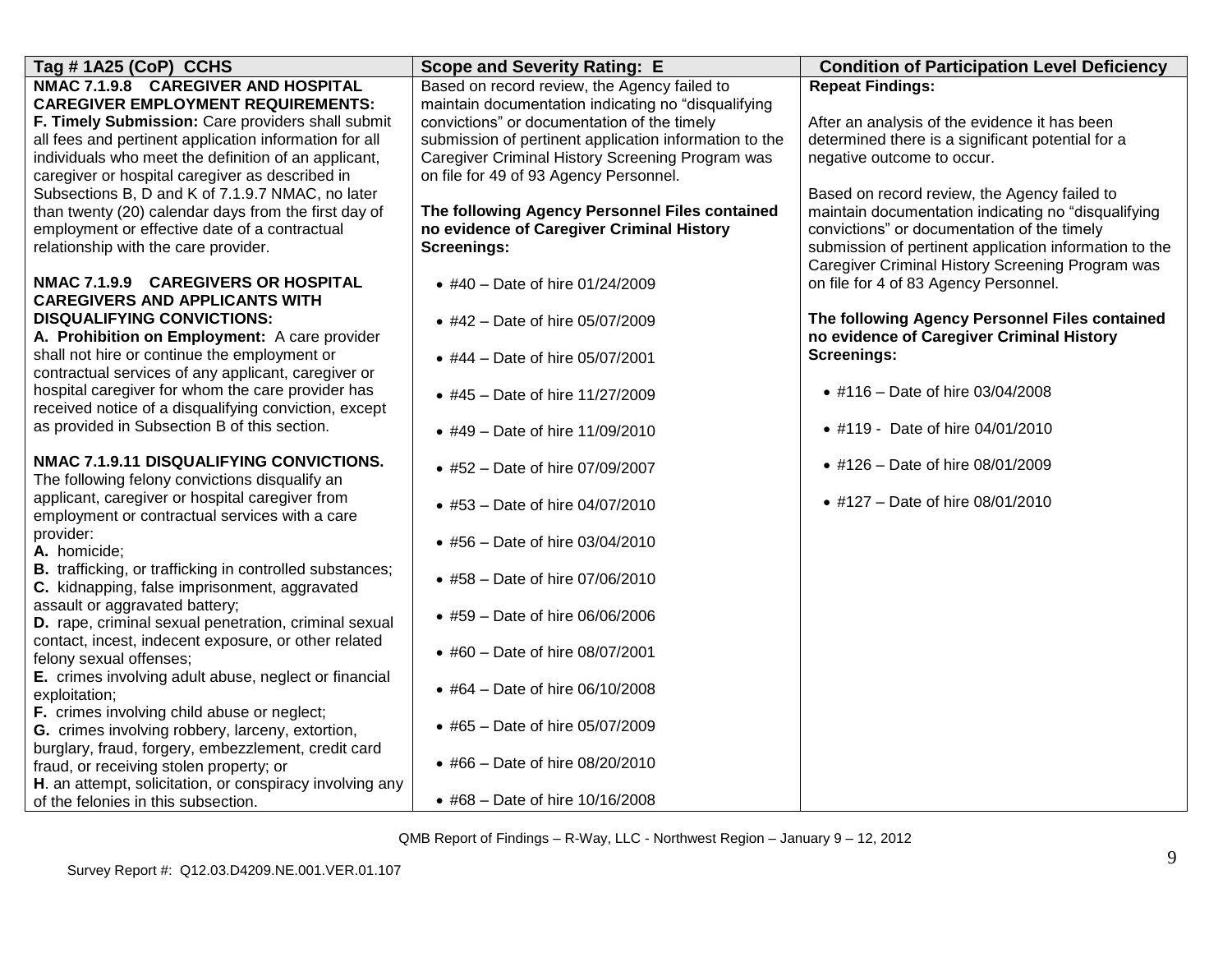| Tag #1A25 (CoP) CCHS                                                                    | <b>Scope and Severity Rating: E</b>                    | <b>Condition of Participation Level Deficiency</b>     |
|-----------------------------------------------------------------------------------------|--------------------------------------------------------|--------------------------------------------------------|
| NMAC 7.1.9.8 CAREGIVER AND HOSPITAL                                                     | Based on record review, the Agency failed to           | <b>Repeat Findings:</b>                                |
| <b>CAREGIVER EMPLOYMENT REQUIREMENTS:</b>                                               | maintain documentation indicating no "disqualifying    |                                                        |
| F. Timely Submission: Care providers shall submit                                       | convictions" or documentation of the timely            | After an analysis of the evidence it has been          |
| all fees and pertinent application information for all                                  | submission of pertinent application information to the | determined there is a significant potential for a      |
| individuals who meet the definition of an applicant,                                    | Caregiver Criminal History Screening Program was       | negative outcome to occur.                             |
| caregiver or hospital caregiver as described in                                         | on file for 49 of 93 Agency Personnel.                 |                                                        |
| Subsections B, D and K of 7.1.9.7 NMAC, no later                                        |                                                        | Based on record review, the Agency failed to           |
| than twenty (20) calendar days from the first day of                                    | The following Agency Personnel Files contained         | maintain documentation indicating no "disqualifying    |
| employment or effective date of a contractual                                           | no evidence of Caregiver Criminal History              | convictions" or documentation of the timely            |
| relationship with the care provider.                                                    | <b>Screenings:</b>                                     | submission of pertinent application information to the |
| NMAC 7.1.9.9 CAREGIVERS OR HOSPITAL                                                     |                                                        | Caregiver Criminal History Screening Program was       |
| <b>CAREGIVERS AND APPLICANTS WITH</b>                                                   | • #40 - Date of hire 01/24/2009                        | on file for 4 of 83 Agency Personnel.                  |
| <b>DISQUALIFYING CONVICTIONS:</b>                                                       | • #42 - Date of hire 05/07/2009                        | The following Agency Personnel Files contained         |
| A. Prohibition on Employment: A care provider                                           |                                                        | no evidence of Caregiver Criminal History              |
| shall not hire or continue the employment or                                            | • #44 - Date of hire 05/07/2001                        | <b>Screenings:</b>                                     |
| contractual services of any applicant, caregiver or                                     |                                                        |                                                        |
| hospital caregiver for whom the care provider has                                       | • #45 - Date of hire 11/27/2009                        | • #116 - Date of hire 03/04/2008                       |
| received notice of a disqualifying conviction, except                                   |                                                        |                                                        |
| as provided in Subsection B of this section.                                            | • #49 - Date of hire 11/09/2010                        | • #119 - Date of hire 04/01/2010                       |
|                                                                                         |                                                        |                                                        |
| NMAC 7.1.9.11 DISQUALIFYING CONVICTIONS.                                                | • #52 - Date of hire 07/09/2007                        | • #126 - Date of hire 08/01/2009                       |
| The following felony convictions disqualify an                                          |                                                        |                                                        |
| applicant, caregiver or hospital caregiver from                                         | • #53 - Date of hire 04/07/2010                        | • #127 - Date of hire 08/01/2010                       |
| employment or contractual services with a care                                          |                                                        |                                                        |
| provider:                                                                               | • #56 - Date of hire 03/04/2010                        |                                                        |
| A. homicide;                                                                            |                                                        |                                                        |
| B. trafficking, or trafficking in controlled substances;                                | • #58 - Date of hire 07/06/2010                        |                                                        |
| C. kidnapping, false imprisonment, aggravated                                           |                                                        |                                                        |
| assault or aggravated battery;<br>D. rape, criminal sexual penetration, criminal sexual | • #59 – Date of hire 06/06/2006                        |                                                        |
| contact, incest, indecent exposure, or other related                                    |                                                        |                                                        |
| felony sexual offenses;                                                                 | • #60 - Date of hire 08/07/2001                        |                                                        |
| E. crimes involving adult abuse, neglect or financial                                   |                                                        |                                                        |
| exploitation;                                                                           | • #64 - Date of hire 06/10/2008                        |                                                        |
| F. crimes involving child abuse or neglect;                                             |                                                        |                                                        |
| G. crimes involving robbery, larceny, extortion,                                        | • #65 - Date of hire 05/07/2009                        |                                                        |
| burglary, fraud, forgery, embezzlement, credit card                                     |                                                        |                                                        |
| fraud, or receiving stolen property; or                                                 | • #66 - Date of hire 08/20/2010                        |                                                        |
| H. an attempt, solicitation, or conspiracy involving any                                |                                                        |                                                        |
| of the felonies in this subsection.                                                     | • #68 - Date of hire 10/16/2008                        |                                                        |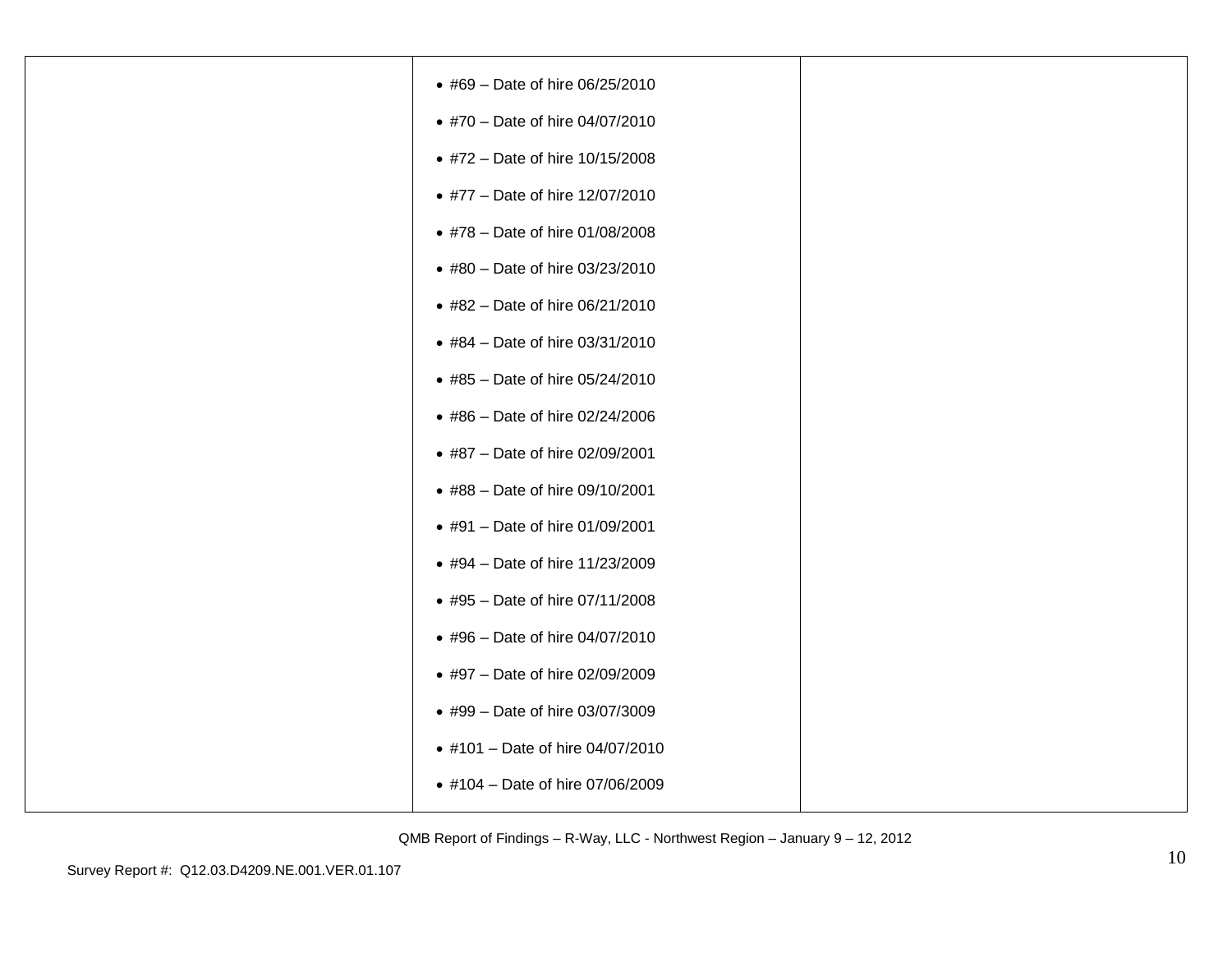| • #69 - Date of hire 06/25/2010  |  |
|----------------------------------|--|
| • #70 - Date of hire 04/07/2010  |  |
| • #72 - Date of hire 10/15/2008  |  |
| • #77 - Date of hire 12/07/2010  |  |
| • #78 - Date of hire 01/08/2008  |  |
| • #80 - Date of hire 03/23/2010  |  |
| • #82 - Date of hire 06/21/2010  |  |
| • #84 - Date of hire 03/31/2010  |  |
| • #85 - Date of hire 05/24/2010  |  |
| • #86 - Date of hire 02/24/2006  |  |
| • #87 - Date of hire 02/09/2001  |  |
| • #88 - Date of hire 09/10/2001  |  |
| • #91 - Date of hire 01/09/2001  |  |
| • #94 - Date of hire 11/23/2009  |  |
| • #95 - Date of hire 07/11/2008  |  |
| • #96 - Date of hire 04/07/2010  |  |
| • #97 - Date of hire 02/09/2009  |  |
| • #99 - Date of hire 03/07/3009  |  |
| • #101 - Date of hire 04/07/2010 |  |
| • #104 - Date of hire 07/06/2009 |  |
|                                  |  |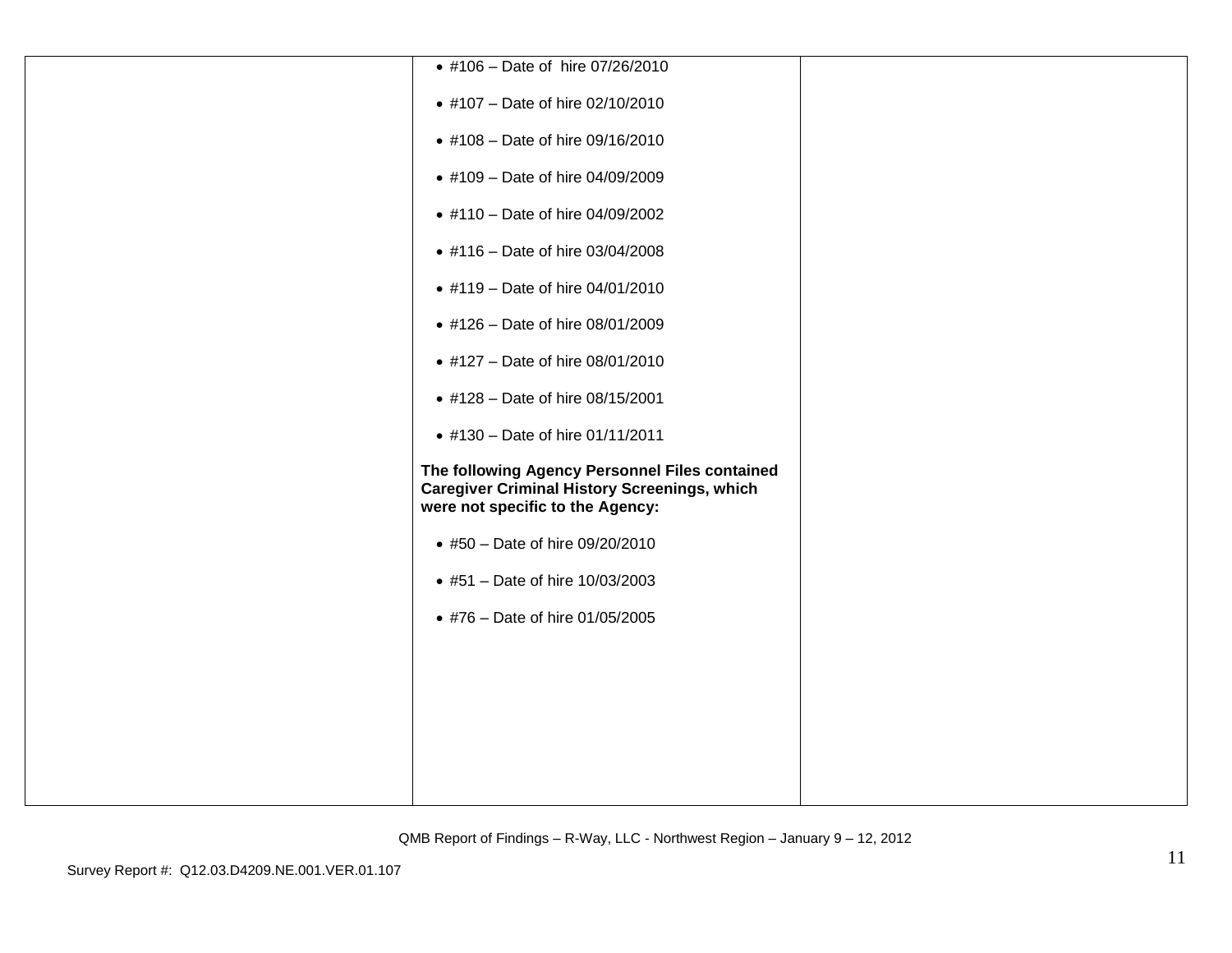| • #106 - Date of hire 07/26/2010                                                                                                          |  |
|-------------------------------------------------------------------------------------------------------------------------------------------|--|
| • #107 - Date of hire 02/10/2010                                                                                                          |  |
| • #108 - Date of hire 09/16/2010                                                                                                          |  |
| • #109 - Date of hire 04/09/2009                                                                                                          |  |
| • #110 - Date of hire 04/09/2002                                                                                                          |  |
| • #116 - Date of hire 03/04/2008                                                                                                          |  |
| • #119 - Date of hire 04/01/2010                                                                                                          |  |
| • #126 - Date of hire 08/01/2009                                                                                                          |  |
| • #127 - Date of hire 08/01/2010                                                                                                          |  |
| • #128 - Date of hire 08/15/2001                                                                                                          |  |
| • #130 - Date of hire 01/11/2011                                                                                                          |  |
| The following Agency Personnel Files contained<br><b>Caregiver Criminal History Screenings, which</b><br>were not specific to the Agency: |  |
| • #50 - Date of hire 09/20/2010                                                                                                           |  |
| • #51 - Date of hire 10/03/2003                                                                                                           |  |
| • #76 - Date of hire 01/05/2005                                                                                                           |  |
|                                                                                                                                           |  |
|                                                                                                                                           |  |
|                                                                                                                                           |  |
|                                                                                                                                           |  |
|                                                                                                                                           |  |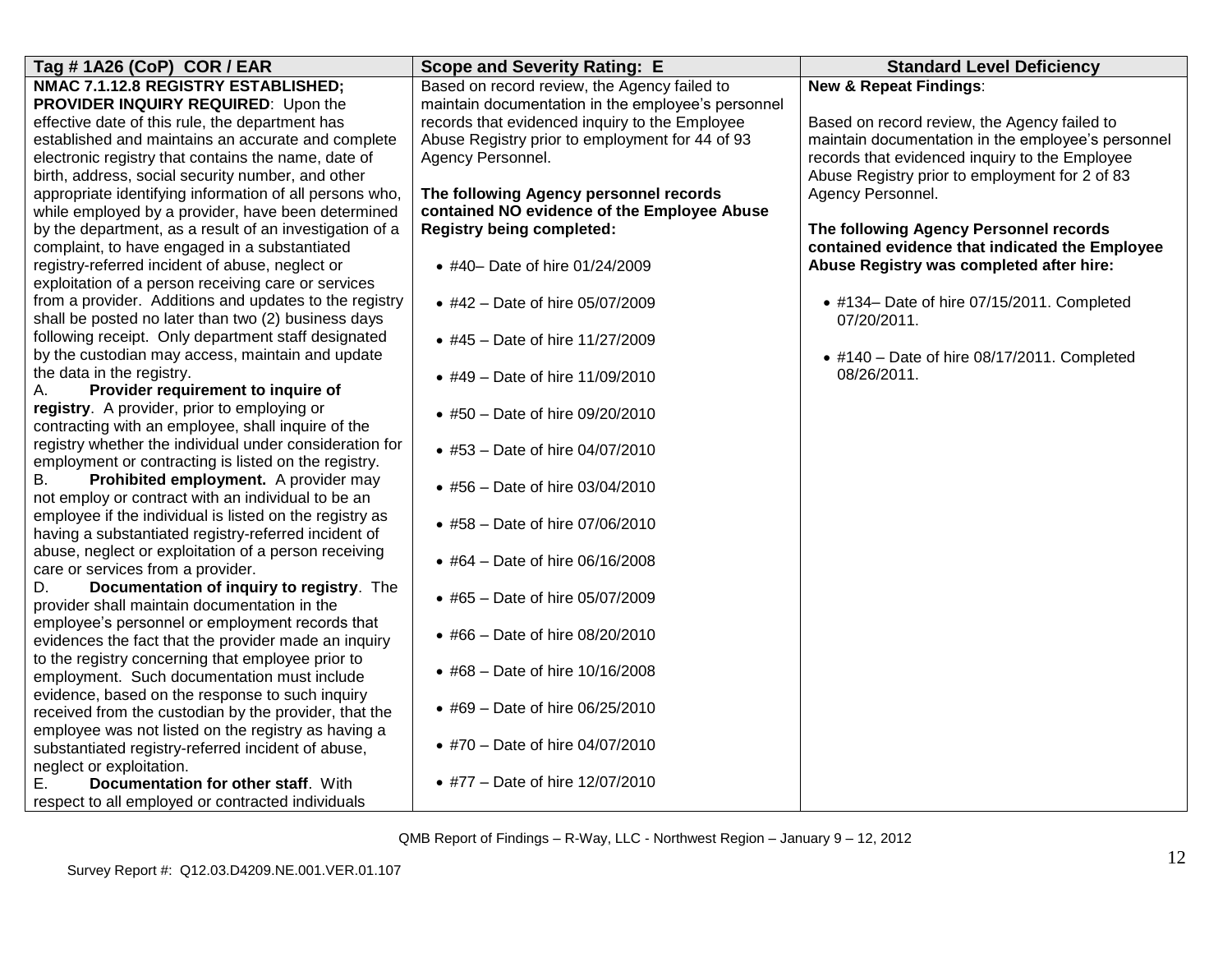| Tag #1A26 (CoP) COR / EAR                               | <b>Scope and Severity Rating: E</b>                | <b>Standard Level Deficiency</b>                    |
|---------------------------------------------------------|----------------------------------------------------|-----------------------------------------------------|
| NMAC 7.1.12.8 REGISTRY ESTABLISHED;                     | Based on record review, the Agency failed to       | <b>New &amp; Repeat Findings:</b>                   |
| PROVIDER INQUIRY REQUIRED: Upon the                     | maintain documentation in the employee's personnel |                                                     |
| effective date of this rule, the department has         | records that evidenced inquiry to the Employee     | Based on record review, the Agency failed to        |
| established and maintains an accurate and complete      | Abuse Registry prior to employment for 44 of 93    | maintain documentation in the employee's personnel  |
| electronic registry that contains the name, date of     | Agency Personnel.                                  | records that evidenced inquiry to the Employee      |
| birth, address, social security number, and other       |                                                    | Abuse Registry prior to employment for 2 of 83      |
| appropriate identifying information of all persons who, | The following Agency personnel records             | Agency Personnel.                                   |
| while employed by a provider, have been determined      | contained NO evidence of the Employee Abuse        |                                                     |
| by the department, as a result of an investigation of a | <b>Registry being completed:</b>                   | The following Agency Personnel records              |
| complaint, to have engaged in a substantiated           |                                                    | contained evidence that indicated the Employee      |
| registry-referred incident of abuse, neglect or         | • #40- Date of hire 01/24/2009                     | Abuse Registry was completed after hire:            |
| exploitation of a person receiving care or services     |                                                    |                                                     |
| from a provider. Additions and updates to the registry  | • #42 – Date of hire 05/07/2009                    | • #134- Date of hire 07/15/2011. Completed          |
| shall be posted no later than two (2) business days     |                                                    | 07/20/2011.                                         |
| following receipt. Only department staff designated     | • #45 – Date of hire $11/27/2009$                  |                                                     |
| by the custodian may access, maintain and update        |                                                    | $\bullet$ #140 - Date of hire 08/17/2011. Completed |
| the data in the registry.                               | • #49 - Date of hire 11/09/2010                    | 08/26/2011.                                         |
| Provider requirement to inquire of<br>А.                |                                                    |                                                     |
| registry. A provider, prior to employing or             | • #50 - Date of hire 09/20/2010                    |                                                     |
| contracting with an employee, shall inquire of the      |                                                    |                                                     |
| registry whether the individual under consideration for | • #53 - Date of hire 04/07/2010                    |                                                     |
| employment or contracting is listed on the registry.    |                                                    |                                                     |
| Prohibited employment. A provider may<br>В.             |                                                    |                                                     |
| not employ or contract with an individual to be an      | • #56 - Date of hire 03/04/2010                    |                                                     |
| employee if the individual is listed on the registry as |                                                    |                                                     |
| having a substantiated registry-referred incident of    | • #58 - Date of hire 07/06/2010                    |                                                     |
| abuse, neglect or exploitation of a person receiving    |                                                    |                                                     |
| care or services from a provider.                       | • #64 - Date of hire 06/16/2008                    |                                                     |
| Documentation of inquiry to registry. The<br>D.         |                                                    |                                                     |
| provider shall maintain documentation in the            | • #65 - Date of hire 05/07/2009                    |                                                     |
| employee's personnel or employment records that         |                                                    |                                                     |
| evidences the fact that the provider made an inquiry    | • #66 - Date of hire 08/20/2010                    |                                                     |
| to the registry concerning that employee prior to       |                                                    |                                                     |
| employment. Such documentation must include             | • #68 - Date of hire 10/16/2008                    |                                                     |
| evidence, based on the response to such inquiry         |                                                    |                                                     |
| received from the custodian by the provider, that the   | • #69 - Date of hire 06/25/2010                    |                                                     |
| employee was not listed on the registry as having a     |                                                    |                                                     |
| substantiated registry-referred incident of abuse,      | • #70 - Date of hire 04/07/2010                    |                                                     |
| neglect or exploitation.                                |                                                    |                                                     |
| Documentation for other staff. With<br>Е.               | • #77 – Date of hire 12/07/2010                    |                                                     |
| respect to all employed or contracted individuals       |                                                    |                                                     |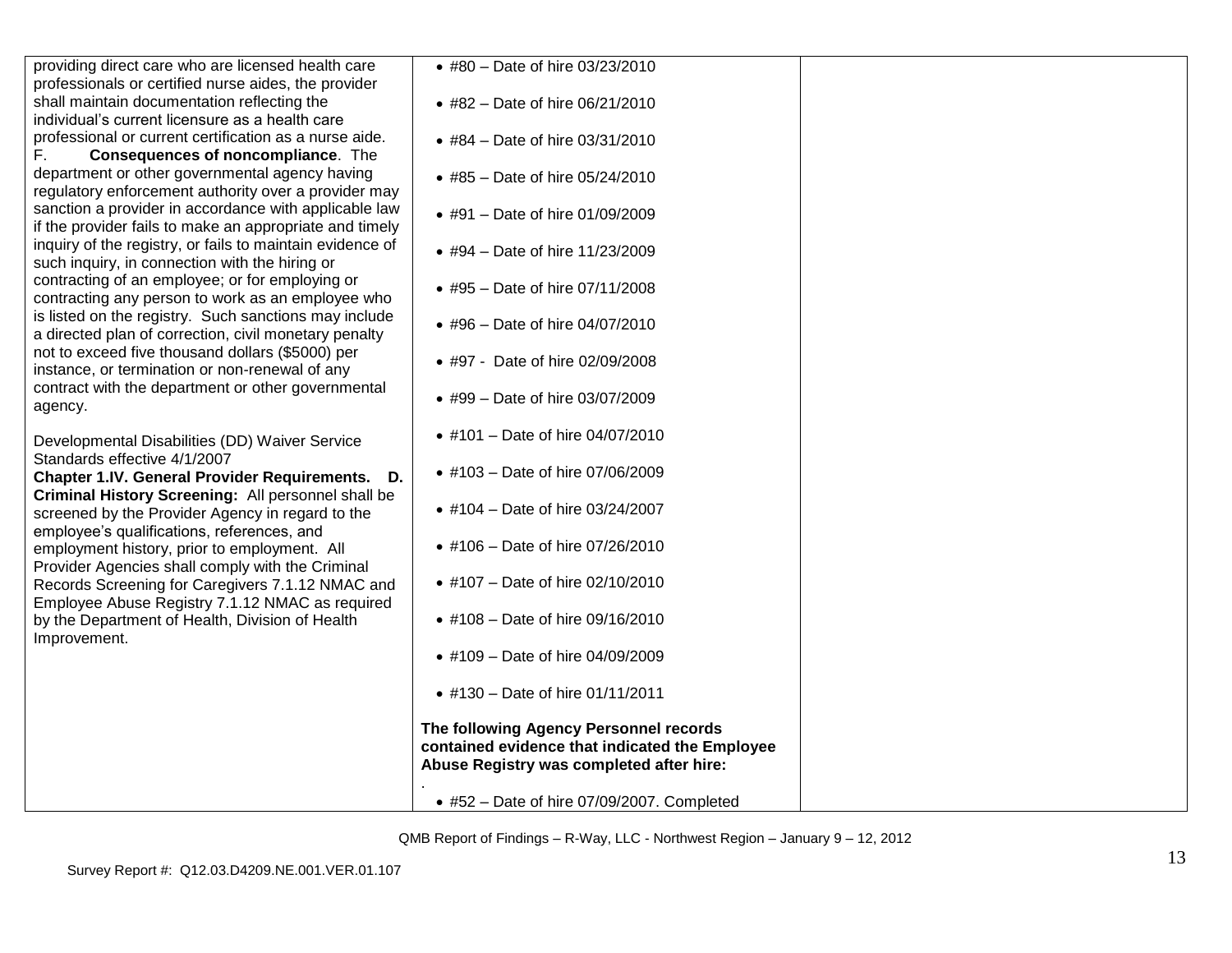| providing direct care who are licensed health care<br>professionals or certified nurse aides, the provider                                                                                                                                                                                                   | • #80 - Date of hire 03/23/2010                                                                                                      |  |
|--------------------------------------------------------------------------------------------------------------------------------------------------------------------------------------------------------------------------------------------------------------------------------------------------------------|--------------------------------------------------------------------------------------------------------------------------------------|--|
| shall maintain documentation reflecting the<br>individual's current licensure as a health care                                                                                                                                                                                                               | • #82 - Date of hire 06/21/2010                                                                                                      |  |
| professional or current certification as a nurse aide.<br><b>Consequences of noncompliance.</b> The<br>F.                                                                                                                                                                                                    | • #84 – Date of hire $03/31/2010$                                                                                                    |  |
| department or other governmental agency having<br>regulatory enforcement authority over a provider may                                                                                                                                                                                                       | • #85 - Date of hire 05/24/2010                                                                                                      |  |
| sanction a provider in accordance with applicable law<br>if the provider fails to make an appropriate and timely                                                                                                                                                                                             | • #91 – Date of hire 01/09/2009                                                                                                      |  |
| inquiry of the registry, or fails to maintain evidence of<br>such inquiry, in connection with the hiring or                                                                                                                                                                                                  | • #94 - Date of hire 11/23/2009                                                                                                      |  |
| contracting of an employee; or for employing or<br>contracting any person to work as an employee who                                                                                                                                                                                                         | • #95 - Date of hire 07/11/2008                                                                                                      |  |
| is listed on the registry. Such sanctions may include<br>a directed plan of correction, civil monetary penalty                                                                                                                                                                                               | • #96 - Date of hire 04/07/2010                                                                                                      |  |
| not to exceed five thousand dollars (\$5000) per<br>instance, or termination or non-renewal of any                                                                                                                                                                                                           | • #97 - Date of hire 02/09/2008                                                                                                      |  |
| contract with the department or other governmental<br>agency.                                                                                                                                                                                                                                                | • #99 - Date of hire 03/07/2009                                                                                                      |  |
| Developmental Disabilities (DD) Waiver Service                                                                                                                                                                                                                                                               | • #101 – Date of hire $04/07/2010$                                                                                                   |  |
| Standards effective 4/1/2007<br>Chapter 1.IV. General Provider Requirements. D.                                                                                                                                                                                                                              | • #103 - Date of hire 07/06/2009                                                                                                     |  |
| Criminal History Screening: All personnel shall be<br>screened by the Provider Agency in regard to the<br>employee's qualifications, references, and<br>employment history, prior to employment. All<br>Provider Agencies shall comply with the Criminal<br>Records Screening for Caregivers 7.1.12 NMAC and | • #104 - Date of hire 03/24/2007                                                                                                     |  |
|                                                                                                                                                                                                                                                                                                              | • #106 - Date of hire 07/26/2010                                                                                                     |  |
|                                                                                                                                                                                                                                                                                                              | • #107 - Date of hire 02/10/2010                                                                                                     |  |
| Employee Abuse Registry 7.1.12 NMAC as required<br>by the Department of Health, Division of Health                                                                                                                                                                                                           | • #108 - Date of hire 09/16/2010                                                                                                     |  |
| Improvement.                                                                                                                                                                                                                                                                                                 | • #109 - Date of hire 04/09/2009                                                                                                     |  |
|                                                                                                                                                                                                                                                                                                              | • #130 - Date of hire 01/11/2011                                                                                                     |  |
|                                                                                                                                                                                                                                                                                                              | The following Agency Personnel records<br>contained evidence that indicated the Employee<br>Abuse Registry was completed after hire: |  |
|                                                                                                                                                                                                                                                                                                              | $\bullet$ #52 - Date of hire 07/09/2007. Completed                                                                                   |  |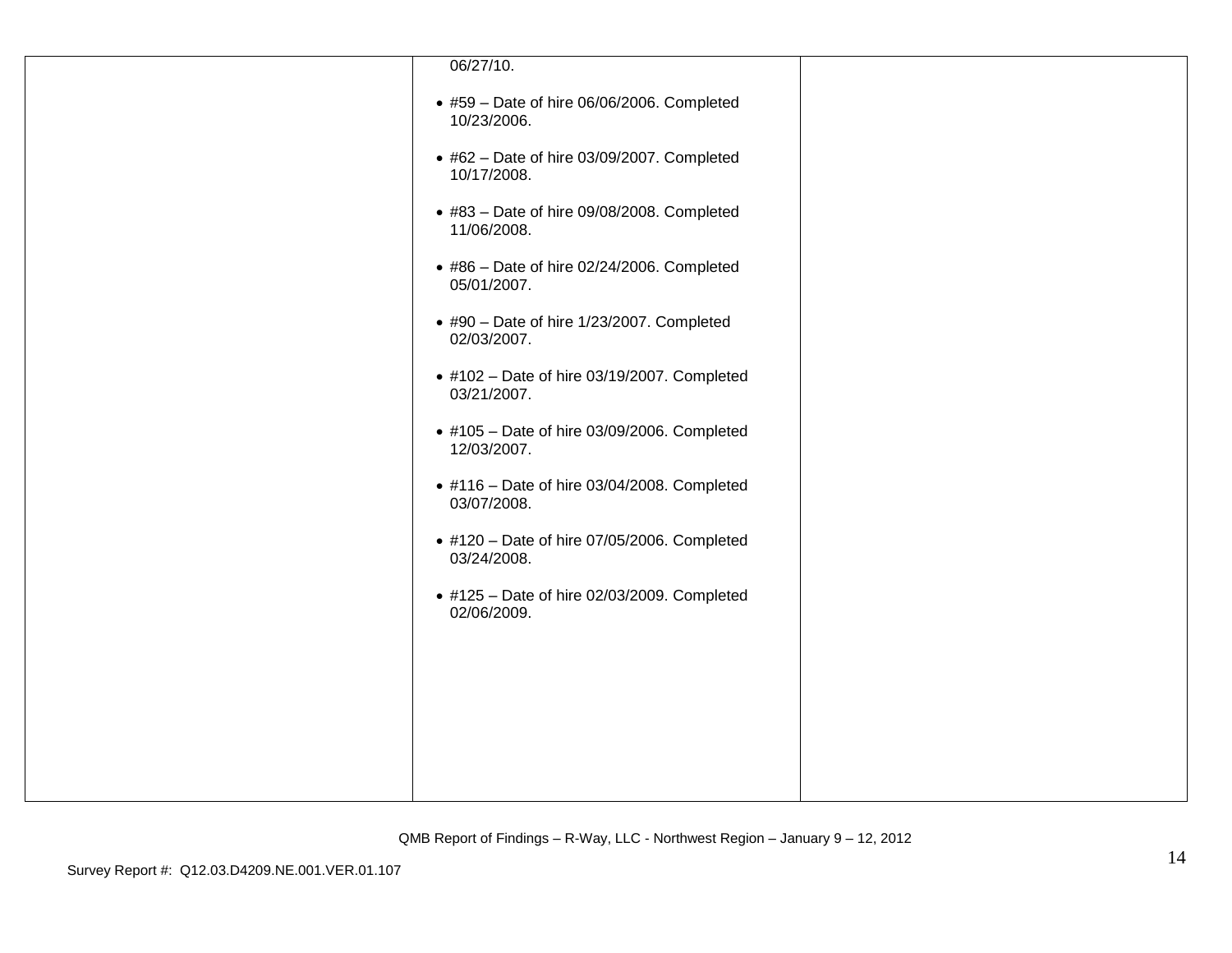| 06/27/10.                                                          |  |
|--------------------------------------------------------------------|--|
| $*$ #59 - Date of hire 06/06/2006. Completed<br>10/23/2006.        |  |
| $\bullet$ #62 - Date of hire 03/09/2007. Completed<br>10/17/2008.  |  |
| $\bullet$ #83 - Date of hire 09/08/2008. Completed<br>11/06/2008.  |  |
| $\bullet$ #86 - Date of hire 02/24/2006. Completed<br>05/01/2007.  |  |
| • #90 - Date of hire 1/23/2007. Completed<br>02/03/2007.           |  |
| $\bullet$ #102 - Date of hire 03/19/2007. Completed<br>03/21/2007. |  |
| • #105 - Date of hire 03/09/2006. Completed<br>12/03/2007.         |  |
| $\bullet$ #116 - Date of hire 03/04/2008. Completed<br>03/07/2008. |  |
| $\bullet$ #120 - Date of hire 07/05/2006. Completed<br>03/24/2008. |  |
| $\bullet$ #125 - Date of hire 02/03/2009. Completed<br>02/06/2009. |  |
|                                                                    |  |
|                                                                    |  |
|                                                                    |  |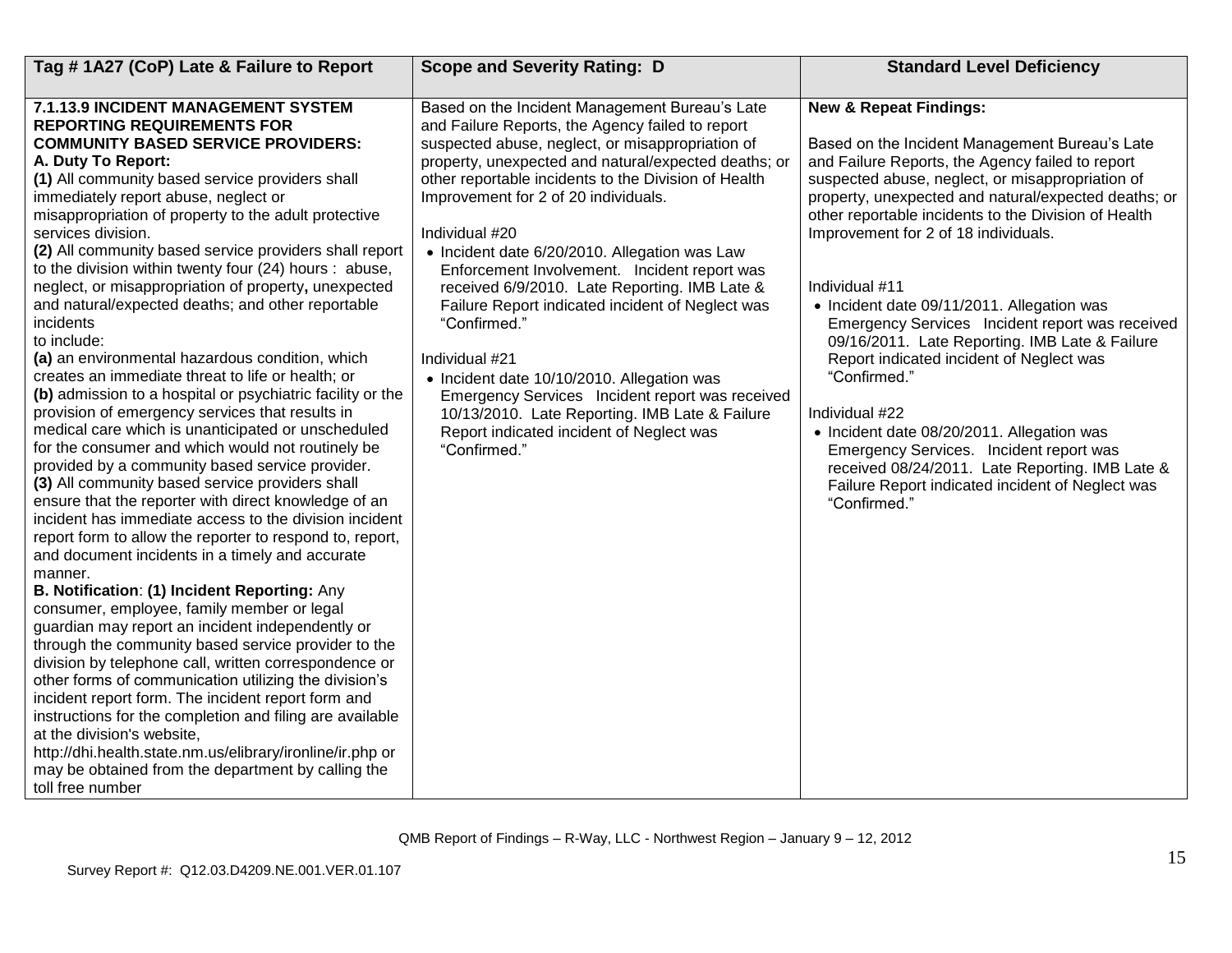| Tag #1A27 (CoP) Late & Failure to Report                                                                                                                                                                                                                                                                                                                                                                                                                                                                                                                                                                                                                                                                                                                                                                                                                                                                                                                                                                                                                                                                                                                                                                                                                                                                                                                                                                                                                                                                                                                                                                                                                                                                                                                                                                                                                                                  | <b>Scope and Severity Rating: D</b>                                                                                                                                                                                                                                                                                                                                                                                                                                                                                                                                                                                                                                                                                                                                                     | <b>Standard Level Deficiency</b>                                                                                                                                                                                                                                                                                                                                                                                                                                                                                                                                                                                                                                                                                                                                                                                       |
|-------------------------------------------------------------------------------------------------------------------------------------------------------------------------------------------------------------------------------------------------------------------------------------------------------------------------------------------------------------------------------------------------------------------------------------------------------------------------------------------------------------------------------------------------------------------------------------------------------------------------------------------------------------------------------------------------------------------------------------------------------------------------------------------------------------------------------------------------------------------------------------------------------------------------------------------------------------------------------------------------------------------------------------------------------------------------------------------------------------------------------------------------------------------------------------------------------------------------------------------------------------------------------------------------------------------------------------------------------------------------------------------------------------------------------------------------------------------------------------------------------------------------------------------------------------------------------------------------------------------------------------------------------------------------------------------------------------------------------------------------------------------------------------------------------------------------------------------------------------------------------------------|-----------------------------------------------------------------------------------------------------------------------------------------------------------------------------------------------------------------------------------------------------------------------------------------------------------------------------------------------------------------------------------------------------------------------------------------------------------------------------------------------------------------------------------------------------------------------------------------------------------------------------------------------------------------------------------------------------------------------------------------------------------------------------------------|------------------------------------------------------------------------------------------------------------------------------------------------------------------------------------------------------------------------------------------------------------------------------------------------------------------------------------------------------------------------------------------------------------------------------------------------------------------------------------------------------------------------------------------------------------------------------------------------------------------------------------------------------------------------------------------------------------------------------------------------------------------------------------------------------------------------|
| 7.1.13.9 INCIDENT MANAGEMENT SYSTEM<br><b>REPORTING REQUIREMENTS FOR</b><br><b>COMMUNITY BASED SERVICE PROVIDERS:</b><br>A. Duty To Report:<br>(1) All community based service providers shall<br>immediately report abuse, neglect or<br>misappropriation of property to the adult protective<br>services division.<br>(2) All community based service providers shall report<br>to the division within twenty four (24) hours : abuse,<br>neglect, or misappropriation of property, unexpected<br>and natural/expected deaths; and other reportable<br>incidents<br>to include:<br>(a) an environmental hazardous condition, which<br>creates an immediate threat to life or health; or<br>(b) admission to a hospital or psychiatric facility or the<br>provision of emergency services that results in<br>medical care which is unanticipated or unscheduled<br>for the consumer and which would not routinely be<br>provided by a community based service provider.<br>(3) All community based service providers shall<br>ensure that the reporter with direct knowledge of an<br>incident has immediate access to the division incident<br>report form to allow the reporter to respond to, report,<br>and document incidents in a timely and accurate<br>manner.<br>B. Notification: (1) Incident Reporting: Any<br>consumer, employee, family member or legal<br>guardian may report an incident independently or<br>through the community based service provider to the<br>division by telephone call, written correspondence or<br>other forms of communication utilizing the division's<br>incident report form. The incident report form and<br>instructions for the completion and filing are available<br>at the division's website,<br>http://dhi.health.state.nm.us/elibrary/ironline/ir.php or<br>may be obtained from the department by calling the<br>toll free number | Based on the Incident Management Bureau's Late<br>and Failure Reports, the Agency failed to report<br>suspected abuse, neglect, or misappropriation of<br>property, unexpected and natural/expected deaths; or<br>other reportable incidents to the Division of Health<br>Improvement for 2 of 20 individuals.<br>Individual #20<br>• Incident date 6/20/2010. Allegation was Law<br>Enforcement Involvement. Incident report was<br>received 6/9/2010. Late Reporting. IMB Late &<br>Failure Report indicated incident of Neglect was<br>"Confirmed."<br>Individual #21<br>• Incident date 10/10/2010. Allegation was<br>Emergency Services Incident report was received<br>10/13/2010. Late Reporting. IMB Late & Failure<br>Report indicated incident of Neglect was<br>"Confirmed." | <b>New &amp; Repeat Findings:</b><br>Based on the Incident Management Bureau's Late<br>and Failure Reports, the Agency failed to report<br>suspected abuse, neglect, or misappropriation of<br>property, unexpected and natural/expected deaths; or<br>other reportable incidents to the Division of Health<br>Improvement for 2 of 18 individuals.<br>Individual #11<br>• Incident date 09/11/2011. Allegation was<br>Emergency Services Incident report was received<br>09/16/2011. Late Reporting. IMB Late & Failure<br>Report indicated incident of Neglect was<br>"Confirmed."<br>Individual #22<br>• Incident date 08/20/2011. Allegation was<br>Emergency Services. Incident report was<br>received 08/24/2011. Late Reporting. IMB Late &<br>Failure Report indicated incident of Neglect was<br>"Confirmed." |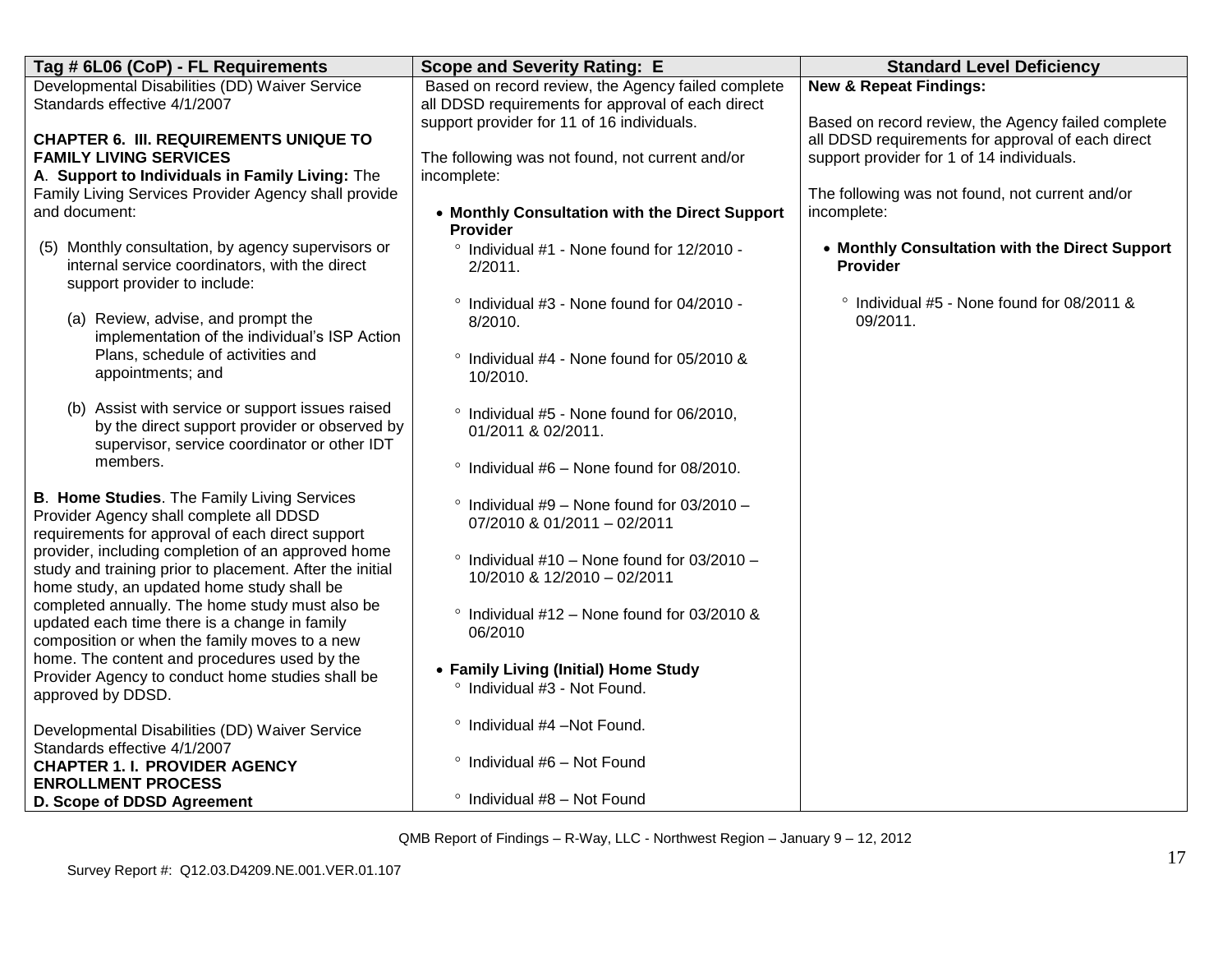| Tag # 6L06 (CoP) - FL Requirements                                                                                                                           | <b>Scope and Severity Rating: E</b>                                                                                                                   | <b>Standard Level Deficiency</b>                                                               |
|--------------------------------------------------------------------------------------------------------------------------------------------------------------|-------------------------------------------------------------------------------------------------------------------------------------------------------|------------------------------------------------------------------------------------------------|
| Developmental Disabilities (DD) Waiver Service<br>Standards effective 4/1/2007                                                                               | Based on record review, the Agency failed complete<br>all DDSD requirements for approval of each direct<br>support provider for 11 of 16 individuals. | <b>New &amp; Repeat Findings:</b><br>Based on record review, the Agency failed complete        |
| <b>CHAPTER 6. III. REQUIREMENTS UNIQUE TO</b><br><b>FAMILY LIVING SERVICES</b>                                                                               | The following was not found, not current and/or                                                                                                       | all DDSD requirements for approval of each direct<br>support provider for 1 of 14 individuals. |
| A. Support to Individuals in Family Living: The                                                                                                              | incomplete:                                                                                                                                           |                                                                                                |
| Family Living Services Provider Agency shall provide<br>and document:                                                                                        | • Monthly Consultation with the Direct Support<br>Provider                                                                                            | The following was not found, not current and/or<br>incomplete:                                 |
| (5) Monthly consultation, by agency supervisors or<br>internal service coordinators, with the direct<br>support provider to include:                         | ° Individual #1 - None found for 12/2010 -<br>2/2011.                                                                                                 | • Monthly Consultation with the Direct Support<br><b>Provider</b>                              |
| (a) Review, advise, and prompt the<br>implementation of the individual's ISP Action                                                                          | ° Individual #3 - None found for 04/2010 -<br>8/2010.                                                                                                 | ° Individual #5 - None found for 08/2011 &<br>09/2011.                                         |
| Plans, schedule of activities and<br>appointments; and                                                                                                       | ° Individual #4 - None found for 05/2010 &<br>10/2010.                                                                                                |                                                                                                |
| (b) Assist with service or support issues raised<br>by the direct support provider or observed by<br>supervisor, service coordinator or other IDT            | ° Individual #5 - None found for 06/2010,<br>01/2011 & 02/2011.                                                                                       |                                                                                                |
| members.                                                                                                                                                     | $\degree$ Individual #6 – None found for 08/2010.                                                                                                     |                                                                                                |
| B. Home Studies. The Family Living Services<br>Provider Agency shall complete all DDSD<br>requirements for approval of each direct support                   | $\degree$ Individual #9 - None found for 03/2010 -<br>07/2010 & 01/2011 - 02/2011                                                                     |                                                                                                |
| provider, including completion of an approved home<br>study and training prior to placement. After the initial<br>home study, an updated home study shall be | $\degree$ Individual #10 - None found for 03/2010 -<br>10/2010 & 12/2010 - 02/2011                                                                    |                                                                                                |
| completed annually. The home study must also be<br>updated each time there is a change in family<br>composition or when the family moves to a new            | $\degree$ Individual #12 - None found for 03/2010 &<br>06/2010                                                                                        |                                                                                                |
| home. The content and procedures used by the<br>Provider Agency to conduct home studies shall be<br>approved by DDSD.                                        | • Family Living (Initial) Home Study<br>° Individual #3 - Not Found.                                                                                  |                                                                                                |
| Developmental Disabilities (DD) Waiver Service<br>Standards effective 4/1/2007                                                                               | ° Individual #4 -Not Found.                                                                                                                           |                                                                                                |
| <b>CHAPTER 1. I. PROVIDER AGENCY</b><br><b>ENROLLMENT PROCESS</b>                                                                                            | ° Individual #6 - Not Found                                                                                                                           |                                                                                                |
| D. Scope of DDSD Agreement                                                                                                                                   | ° Individual #8 - Not Found                                                                                                                           |                                                                                                |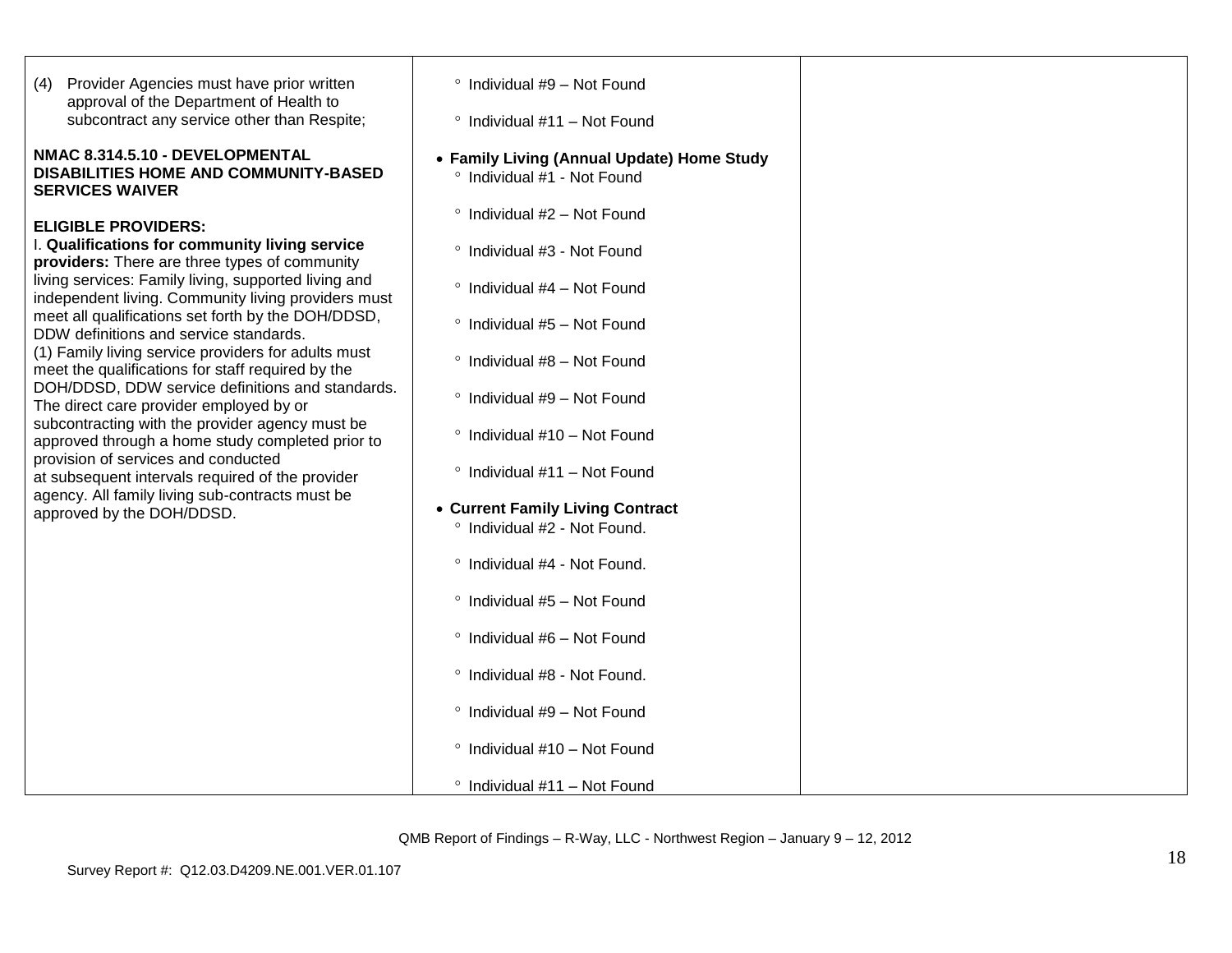| Provider Agencies must have prior written<br>(4)<br>approval of the Department of Health to<br>subcontract any service other than Respite;                                                                                                                 | <sup>o</sup> Individual #9 - Not Found<br><sup>o</sup> Individual #11 - Not Found |  |
|------------------------------------------------------------------------------------------------------------------------------------------------------------------------------------------------------------------------------------------------------------|-----------------------------------------------------------------------------------|--|
| NMAC 8.314.5.10 - DEVELOPMENTAL<br><b>DISABILITIES HOME AND COMMUNITY-BASED</b><br><b>SERVICES WAIVER</b>                                                                                                                                                  | • Family Living (Annual Update) Home Study<br>° Individual #1 - Not Found         |  |
| <b>ELIGIBLE PROVIDERS:</b>                                                                                                                                                                                                                                 | $\degree$ Individual #2 - Not Found                                               |  |
| I. Qualifications for community living service<br>providers: There are three types of community                                                                                                                                                            | ° Individual #3 - Not Found                                                       |  |
| living services: Family living, supported living and<br>independent living. Community living providers must                                                                                                                                                | <sup>o</sup> Individual #4 - Not Found                                            |  |
| meet all qualifications set forth by the DOH/DDSD,<br>DDW definitions and service standards.                                                                                                                                                               | <sup>o</sup> Individual #5 - Not Found                                            |  |
| (1) Family living service providers for adults must<br>meet the qualifications for staff required by the<br>DOH/DDSD, DDW service definitions and standards.<br>The direct care provider employed by or<br>subcontracting with the provider agency must be | ° Individual #8 - Not Found                                                       |  |
|                                                                                                                                                                                                                                                            | ° Individual #9 - Not Found                                                       |  |
| approved through a home study completed prior to<br>provision of services and conducted                                                                                                                                                                    | ° Individual #10 - Not Found                                                      |  |
| at subsequent intervals required of the provider<br>agency. All family living sub-contracts must be                                                                                                                                                        | <sup>o</sup> Individual #11 - Not Found                                           |  |
| approved by the DOH/DDSD.                                                                                                                                                                                                                                  | • Current Family Living Contract<br>° Individual #2 - Not Found.                  |  |
|                                                                                                                                                                                                                                                            | ° Individual #4 - Not Found.                                                      |  |
|                                                                                                                                                                                                                                                            | <sup>o</sup> Individual #5 - Not Found                                            |  |
|                                                                                                                                                                                                                                                            | ° Individual #6 - Not Found                                                       |  |
|                                                                                                                                                                                                                                                            | ° Individual #8 - Not Found.                                                      |  |
|                                                                                                                                                                                                                                                            | ° Individual #9 - Not Found                                                       |  |
|                                                                                                                                                                                                                                                            | ° Individual #10 - Not Found                                                      |  |
|                                                                                                                                                                                                                                                            | <sup>o</sup> Individual #11 - Not Found                                           |  |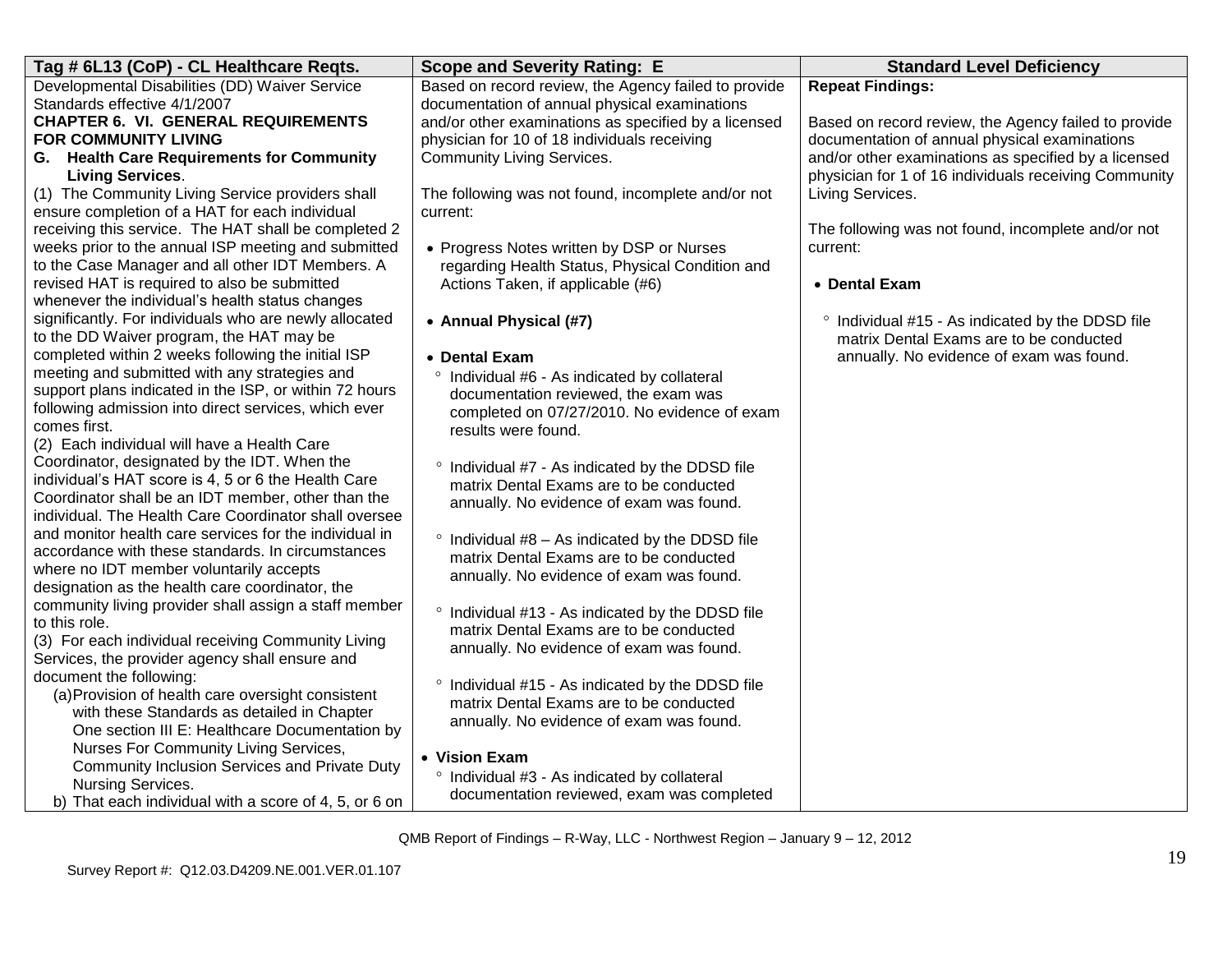| Tag # 6L13 (CoP) - CL Healthcare Reqts.                                                                     | <b>Scope and Severity Rating: E</b>                     | <b>Standard Level Deficiency</b>                      |
|-------------------------------------------------------------------------------------------------------------|---------------------------------------------------------|-------------------------------------------------------|
| Developmental Disabilities (DD) Waiver Service                                                              | Based on record review, the Agency failed to provide    | <b>Repeat Findings:</b>                               |
| Standards effective 4/1/2007                                                                                | documentation of annual physical examinations           |                                                       |
| <b>CHAPTER 6. VI. GENERAL REQUIREMENTS</b>                                                                  | and/or other examinations as specified by a licensed    | Based on record review, the Agency failed to provide  |
| FOR COMMUNITY LIVING                                                                                        | physician for 10 of 18 individuals receiving            | documentation of annual physical examinations         |
| G. Health Care Requirements for Community                                                                   | <b>Community Living Services.</b>                       | and/or other examinations as specified by a licensed  |
| <b>Living Services.</b>                                                                                     |                                                         | physician for 1 of 16 individuals receiving Community |
| (1) The Community Living Service providers shall                                                            | The following was not found, incomplete and/or not      | Living Services.                                      |
| ensure completion of a HAT for each individual                                                              | current:                                                |                                                       |
| receiving this service. The HAT shall be completed 2                                                        |                                                         | The following was not found, incomplete and/or not    |
| weeks prior to the annual ISP meeting and submitted                                                         | • Progress Notes written by DSP or Nurses               | current:                                              |
| to the Case Manager and all other IDT Members. A                                                            | regarding Health Status, Physical Condition and         |                                                       |
| revised HAT is required to also be submitted                                                                | Actions Taken, if applicable (#6)                       | • Dental Exam                                         |
| whenever the individual's health status changes                                                             |                                                         |                                                       |
| significantly. For individuals who are newly allocated                                                      | • Annual Physical (#7)                                  | ° Individual #15 - As indicated by the DDSD file      |
| to the DD Waiver program, the HAT may be                                                                    |                                                         | matrix Dental Exams are to be conducted               |
| completed within 2 weeks following the initial ISP                                                          | • Dental Exam                                           | annually. No evidence of exam was found.              |
| meeting and submitted with any strategies and                                                               | ° Individual #6 - As indicated by collateral            |                                                       |
| support plans indicated in the ISP, or within 72 hours                                                      | documentation reviewed, the exam was                    |                                                       |
| following admission into direct services, which ever                                                        | completed on 07/27/2010. No evidence of exam            |                                                       |
| comes first.                                                                                                | results were found.                                     |                                                       |
| (2) Each individual will have a Health Care                                                                 |                                                         |                                                       |
| Coordinator, designated by the IDT. When the                                                                | ° Individual #7 - As indicated by the DDSD file         |                                                       |
| individual's HAT score is 4, 5 or 6 the Health Care                                                         | matrix Dental Exams are to be conducted                 |                                                       |
| Coordinator shall be an IDT member, other than the<br>individual. The Health Care Coordinator shall oversee | annually. No evidence of exam was found.                |                                                       |
| and monitor health care services for the individual in                                                      |                                                         |                                                       |
| accordance with these standards. In circumstances                                                           | $\degree$ Individual #8 - As indicated by the DDSD file |                                                       |
| where no IDT member voluntarily accepts                                                                     | matrix Dental Exams are to be conducted                 |                                                       |
| designation as the health care coordinator, the                                                             | annually. No evidence of exam was found.                |                                                       |
| community living provider shall assign a staff member                                                       |                                                         |                                                       |
| to this role.                                                                                               | ° Individual #13 - As indicated by the DDSD file        |                                                       |
| (3) For each individual receiving Community Living                                                          | matrix Dental Exams are to be conducted                 |                                                       |
| Services, the provider agency shall ensure and                                                              | annually. No evidence of exam was found.                |                                                       |
| document the following:                                                                                     |                                                         |                                                       |
| (a) Provision of health care oversight consistent                                                           | ° Individual #15 - As indicated by the DDSD file        |                                                       |
| with these Standards as detailed in Chapter                                                                 | matrix Dental Exams are to be conducted                 |                                                       |
| One section III E: Healthcare Documentation by                                                              | annually. No evidence of exam was found.                |                                                       |
| Nurses For Community Living Services,                                                                       |                                                         |                                                       |
| Community Inclusion Services and Private Duty                                                               | • Vision Exam                                           |                                                       |
| Nursing Services.                                                                                           | ° Individual #3 - As indicated by collateral            |                                                       |
| b) That each individual with a score of 4, 5, or 6 on                                                       | documentation reviewed, exam was completed              |                                                       |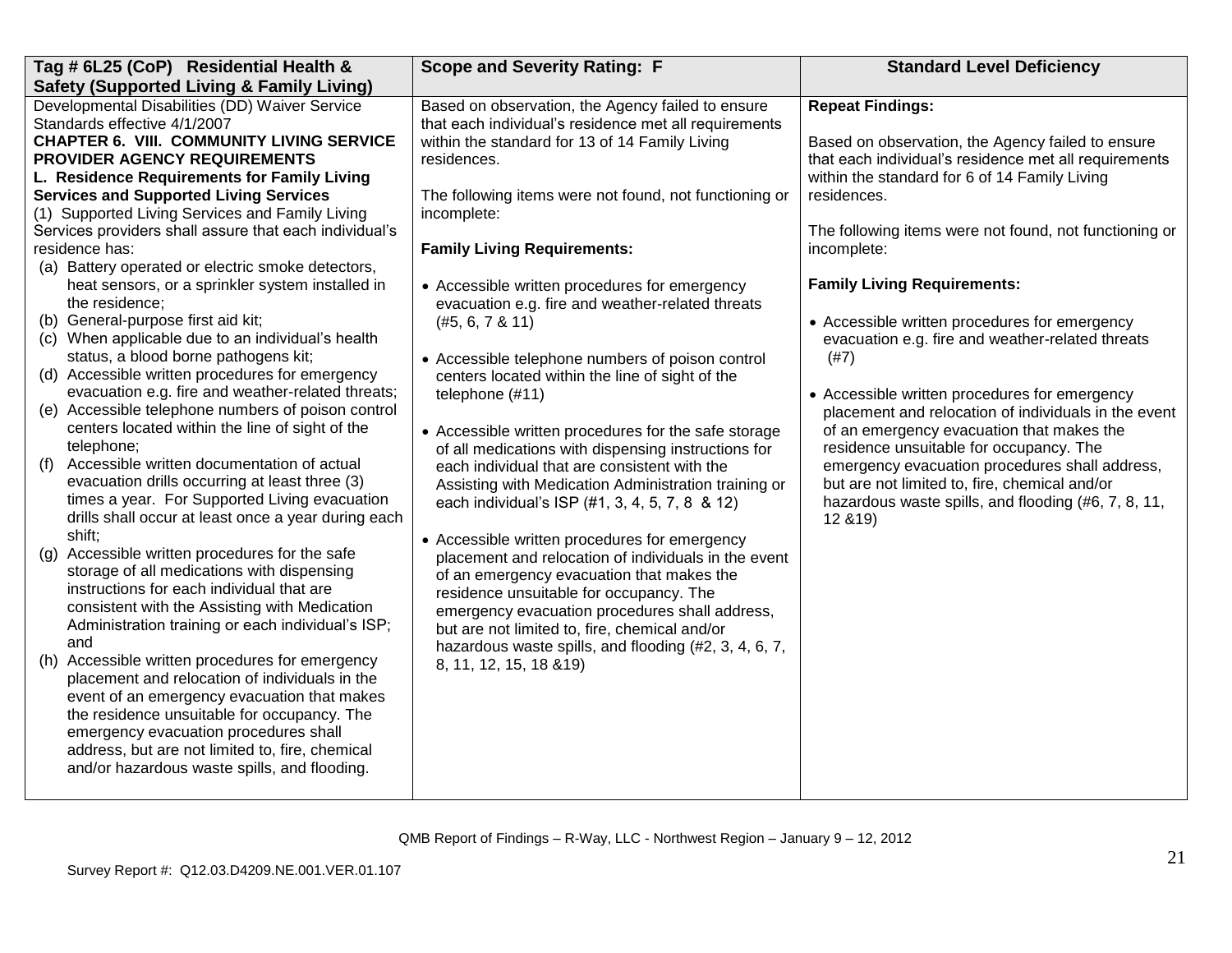| Tag # 6L25 (CoP) Residential Health &                                                                 | <b>Scope and Severity Rating: F</b>                                                               | <b>Standard Level Deficiency</b>                       |
|-------------------------------------------------------------------------------------------------------|---------------------------------------------------------------------------------------------------|--------------------------------------------------------|
| <b>Safety (Supported Living &amp; Family Living)</b>                                                  |                                                                                                   |                                                        |
| Developmental Disabilities (DD) Waiver Service                                                        | Based on observation, the Agency failed to ensure                                                 | <b>Repeat Findings:</b>                                |
| Standards effective 4/1/2007                                                                          | that each individual's residence met all requirements                                             |                                                        |
| <b>CHAPTER 6. VIII. COMMUNITY LIVING SERVICE</b>                                                      | within the standard for 13 of 14 Family Living                                                    | Based on observation, the Agency failed to ensure      |
| <b>PROVIDER AGENCY REQUIREMENTS</b>                                                                   | residences.                                                                                       | that each individual's residence met all requirements  |
| L. Residence Requirements for Family Living                                                           |                                                                                                   | within the standard for 6 of 14 Family Living          |
| <b>Services and Supported Living Services</b>                                                         | The following items were not found, not functioning or                                            | residences.                                            |
| (1) Supported Living Services and Family Living                                                       | incomplete:                                                                                       |                                                        |
| Services providers shall assure that each individual's                                                |                                                                                                   | The following items were not found, not functioning or |
| residence has:                                                                                        | <b>Family Living Requirements:</b>                                                                | incomplete:                                            |
| (a) Battery operated or electric smoke detectors,<br>heat sensors, or a sprinkler system installed in |                                                                                                   | <b>Family Living Requirements:</b>                     |
| the residence;                                                                                        | • Accessible written procedures for emergency<br>evacuation e.g. fire and weather-related threats |                                                        |
| (b) General-purpose first aid kit;                                                                    | (#5, 6, 7 & 11)                                                                                   | • Accessible written procedures for emergency          |
| (c) When applicable due to an individual's health                                                     |                                                                                                   | evacuation e.g. fire and weather-related threats       |
| status, a blood borne pathogens kit;                                                                  | • Accessible telephone numbers of poison control                                                  | (#7)                                                   |
| (d) Accessible written procedures for emergency                                                       | centers located within the line of sight of the                                                   |                                                        |
| evacuation e.g. fire and weather-related threats;                                                     | telephone (#11)                                                                                   | • Accessible written procedures for emergency          |
| (e) Accessible telephone numbers of poison control                                                    |                                                                                                   | placement and relocation of individuals in the event   |
| centers located within the line of sight of the                                                       | • Accessible written procedures for the safe storage                                              | of an emergency evacuation that makes the              |
| telephone;                                                                                            | of all medications with dispensing instructions for                                               | residence unsuitable for occupancy. The                |
| Accessible written documentation of actual<br>(f)                                                     | each individual that are consistent with the                                                      | emergency evacuation procedures shall address,         |
| evacuation drills occurring at least three (3)                                                        | Assisting with Medication Administration training or                                              | but are not limited to, fire, chemical and/or          |
| times a year. For Supported Living evacuation                                                         | each individual's ISP (#1, 3, 4, 5, 7, 8 & 12)                                                    | hazardous waste spills, and flooding (#6, 7, 8, 11,    |
| drills shall occur at least once a year during each                                                   |                                                                                                   | 12 & 19)                                               |
| shift;                                                                                                | • Accessible written procedures for emergency                                                     |                                                        |
| Accessible written procedures for the safe                                                            | placement and relocation of individuals in the event                                              |                                                        |
| storage of all medications with dispensing                                                            | of an emergency evacuation that makes the                                                         |                                                        |
| instructions for each individual that are                                                             | residence unsuitable for occupancy. The                                                           |                                                        |
| consistent with the Assisting with Medication                                                         | emergency evacuation procedures shall address,                                                    |                                                        |
| Administration training or each individual's ISP;                                                     | but are not limited to, fire, chemical and/or                                                     |                                                        |
| and<br>(h) Accessible written procedures for emergency                                                | hazardous waste spills, and flooding (#2, 3, 4, 6, 7,                                             |                                                        |
| placement and relocation of individuals in the                                                        | 8, 11, 12, 15, 18 & 19)                                                                           |                                                        |
| event of an emergency evacuation that makes                                                           |                                                                                                   |                                                        |
| the residence unsuitable for occupancy. The                                                           |                                                                                                   |                                                        |
| emergency evacuation procedures shall                                                                 |                                                                                                   |                                                        |
| address, but are not limited to, fire, chemical                                                       |                                                                                                   |                                                        |
| and/or hazardous waste spills, and flooding.                                                          |                                                                                                   |                                                        |
|                                                                                                       |                                                                                                   |                                                        |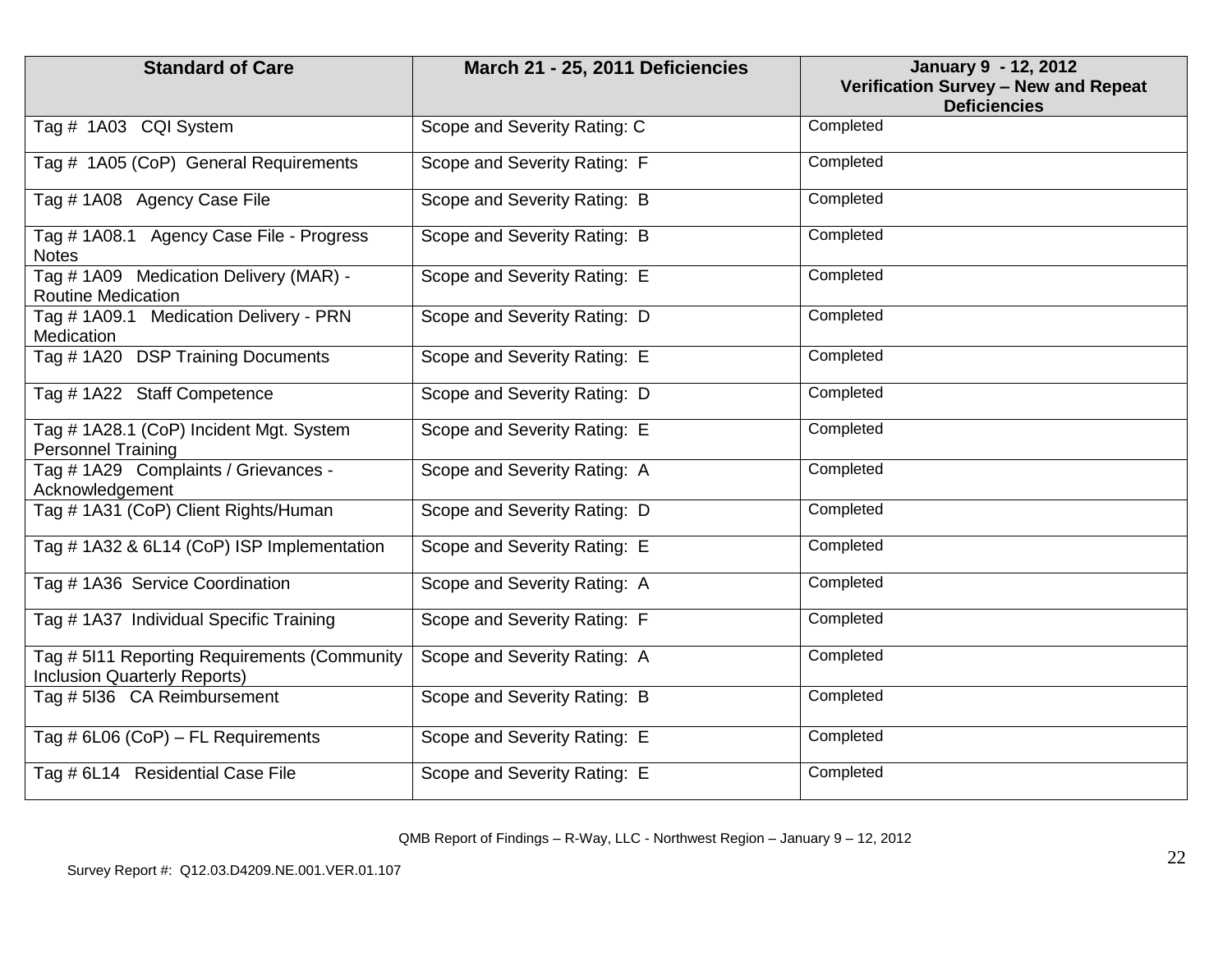| <b>Standard of Care</b>                                                      | March 21 - 25, 2011 Deficiencies | January 9 - 12, 2012<br>Verification Survey - New and Repeat<br><b>Deficiencies</b> |
|------------------------------------------------------------------------------|----------------------------------|-------------------------------------------------------------------------------------|
| Tag # 1A03 CQI System                                                        | Scope and Severity Rating: C     | Completed                                                                           |
| Tag # 1A05 (CoP) General Requirements                                        | Scope and Severity Rating: F     | Completed                                                                           |
| Tag # 1A08 Agency Case File                                                  | Scope and Severity Rating: B     | Completed                                                                           |
| Tag # 1A08.1 Agency Case File - Progress<br><b>Notes</b>                     | Scope and Severity Rating: B     | Completed                                                                           |
| Tag # 1A09 Medication Delivery (MAR) -<br><b>Routine Medication</b>          | Scope and Severity Rating: E     | Completed                                                                           |
| Tag # 1A09.1 Medication Delivery - PRN<br>Medication                         | Scope and Severity Rating: D     | Completed                                                                           |
| Tag # 1A20 DSP Training Documents                                            | Scope and Severity Rating: E     | Completed                                                                           |
| Tag #1A22 Staff Competence                                                   | Scope and Severity Rating: D     | Completed                                                                           |
| Tag # 1A28.1 (CoP) Incident Mgt. System<br><b>Personnel Training</b>         | Scope and Severity Rating: E     | Completed                                                                           |
| Tag # 1A29 Complaints / Grievances -<br>Acknowledgement                      | Scope and Severity Rating: A     | Completed                                                                           |
| Tag # 1A31 (CoP) Client Rights/Human                                         | Scope and Severity Rating: D     | Completed                                                                           |
| Tag # 1A32 & 6L14 (CoP) ISP Implementation                                   | Scope and Severity Rating: E     | Completed                                                                           |
| Tag # 1A36 Service Coordination                                              | Scope and Severity Rating: A     | Completed                                                                           |
| Tag # 1A37 Individual Specific Training                                      | Scope and Severity Rating: F     | Completed                                                                           |
| Tag # 5I11 Reporting Requirements (Community<br>Inclusion Quarterly Reports) | Scope and Severity Rating: A     | Completed                                                                           |
| Tag # 5136 CA Reimbursement                                                  | Scope and Severity Rating: B     | Completed                                                                           |
| Tag # 6L06 (CoP) - FL Requirements                                           | Scope and Severity Rating: E     | Completed                                                                           |
| Tag # 6L14 Residential Case File                                             | Scope and Severity Rating: E     | Completed                                                                           |